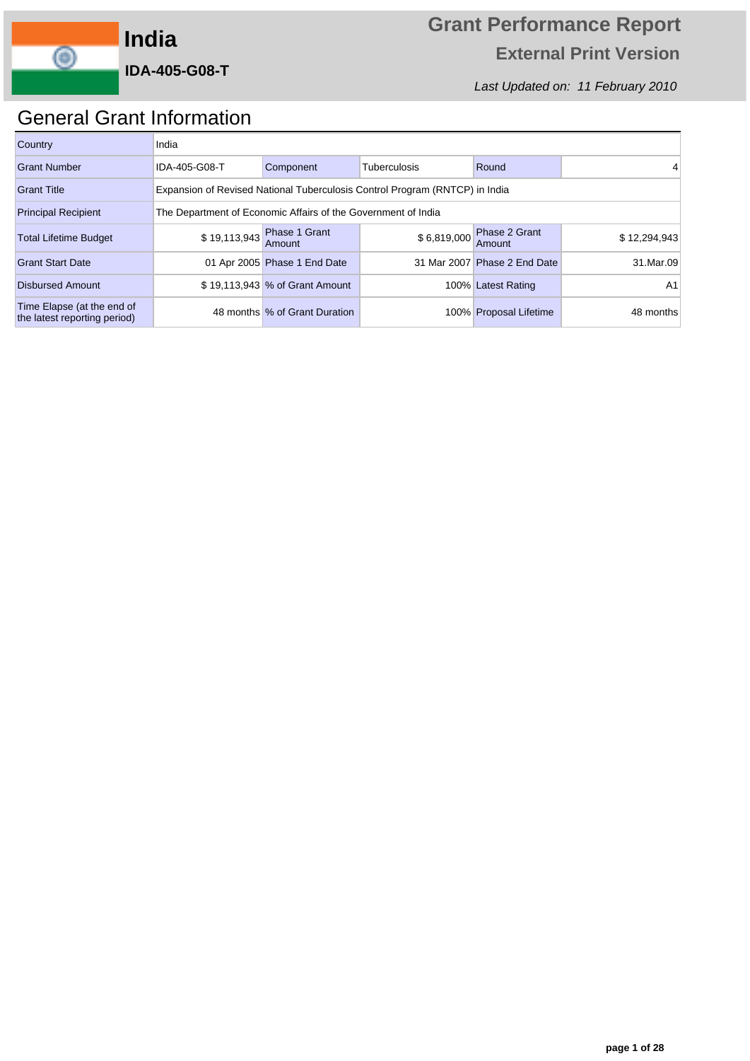

Last Updated on: 11 February 2010

## General Grant Information

| Country                                                    | India         |                                                                             |                     |                                     |              |  |  |  |  |  |  |  |
|------------------------------------------------------------|---------------|-----------------------------------------------------------------------------|---------------------|-------------------------------------|--------------|--|--|--|--|--|--|--|
| <b>Grant Number</b>                                        | IDA-405-G08-T | Component                                                                   | <b>Tuberculosis</b> | Round                               | 4            |  |  |  |  |  |  |  |
| <b>Grant Title</b>                                         |               | Expansion of Revised National Tuberculosis Control Program (RNTCP) in India |                     |                                     |              |  |  |  |  |  |  |  |
| <b>Principal Recipient</b>                                 |               | The Department of Economic Affairs of the Government of India               |                     |                                     |              |  |  |  |  |  |  |  |
| <b>Total Lifetime Budget</b>                               |               | $$19,113,943$ Phase 1 Grant                                                 |                     | \$6,819,000 Phase 2 Grant<br>Amount | \$12,294,943 |  |  |  |  |  |  |  |
| <b>Grant Start Date</b>                                    |               | 01 Apr 2005 Phase 1 End Date                                                |                     | 31 Mar 2007 Phase 2 End Date        | 31.Mar.09    |  |  |  |  |  |  |  |
| <b>Disbursed Amount</b>                                    |               | \$19,113,943 % of Grant Amount                                              | A <sub>1</sub>      |                                     |              |  |  |  |  |  |  |  |
| Time Elapse (at the end of<br>the latest reporting period) |               | 48 months % of Grant Duration                                               |                     | 100% Proposal Lifetime              | 48 months    |  |  |  |  |  |  |  |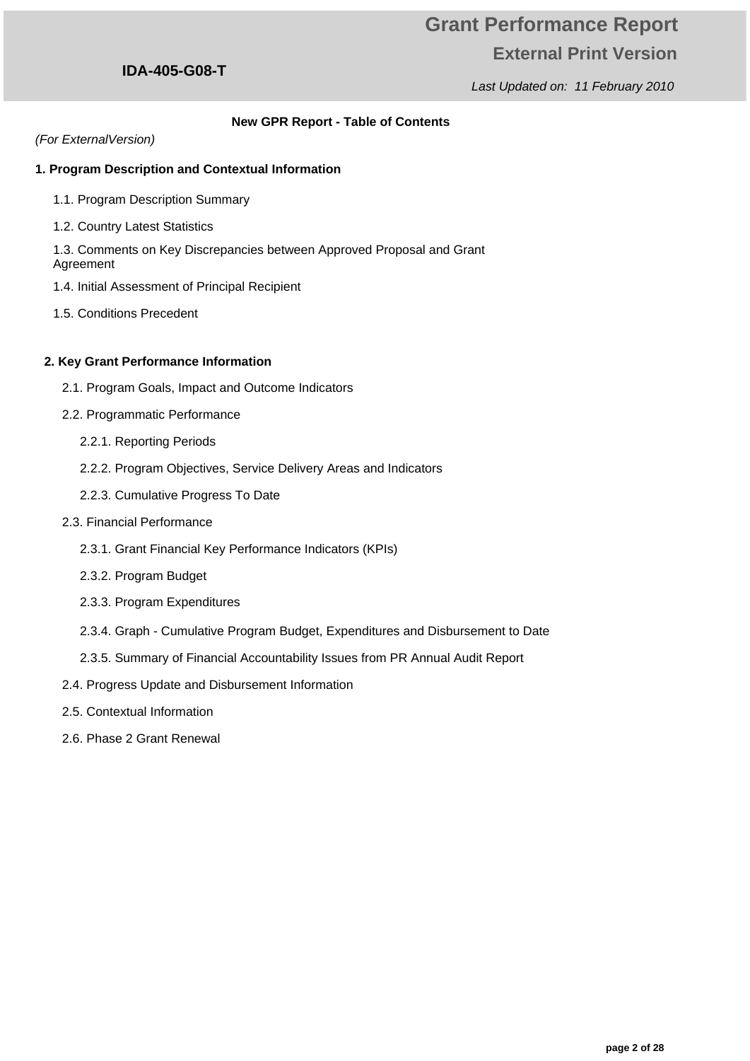Last Updated on: 11 February 2010

### **IDA-405-G08-T**

#### **New GPR Report - Table of Contents**

#### (For ExternalVersion)

#### **1. Program Description and Contextual Information**

- 1.1. Program Description Summary
- 1.2. Country Latest Statistics

1.3. Comments on Key Discrepancies between Approved Proposal and Grant Agreement

- 1.4. Initial Assessment of Principal Recipient
- 1.5. Conditions Precedent

#### **2. Key Grant Performance Information**

- 2.1. Program Goals, Impact and Outcome Indicators
- 2.2. Programmatic Performance
	- 2.2.1. Reporting Periods
	- 2.2.2. Program Objectives, Service Delivery Areas and Indicators
	- 2.2.3. Cumulative Progress To Date
- 2.3. Financial Performance
	- 2.3.1. Grant Financial Key Performance Indicators (KPIs)
	- 2.3.2. Program Budget
	- 2.3.3. Program Expenditures
	- 2.3.4. Graph Cumulative Program Budget, Expenditures and Disbursement to Date
	- 2.3.5. Summary of Financial Accountability Issues from PR Annual Audit Report
- 2.4. Progress Update and Disbursement Information
- 2.5. Contextual Information
- 2.6. Phase 2 Grant Renewal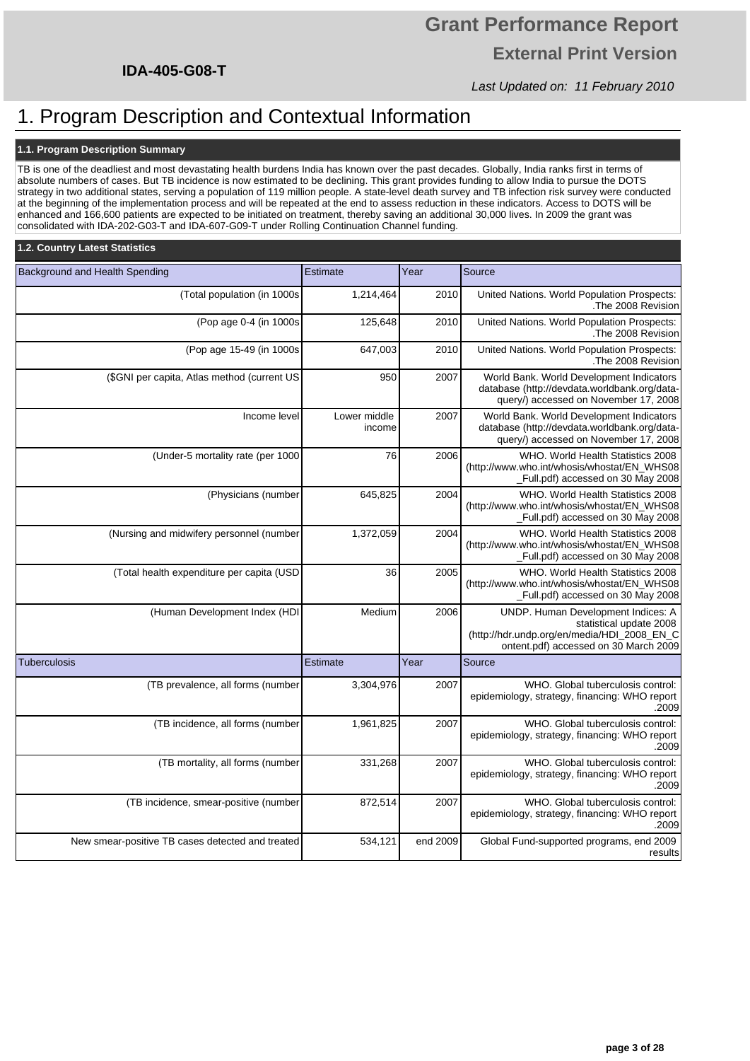Last Updated on: 11 February 2010

#### **IDA-405-G08-T**

## 1. Program Description and Contextual Information

#### **1.1. Program Description Summary**

TB is one of the deadliest and most devastating health burdens India has known over the past decades. Globally, India ranks first in terms of absolute numbers of cases. But TB incidence is now estimated to be declining. This grant provides funding to allow India to pursue the DOTS strategy in two additional states, serving a population of 119 million people. A state-level death survey and TB infection risk survey were conducted at the beginning of the implementation process and will be repeated at the end to assess reduction in these indicators. Access to DOTS will be enhanced and 166,600 patients are expected to be initiated on treatment, thereby saving an additional 30,000 lives. In 2009 the grant was consolidated with IDA-202-G03-T and IDA-607-G09-T under Rolling Continuation Channel funding.

| <b>1.2. Country Latest Statistics</b>            |                        |          |                                                                                                                                                       |
|--------------------------------------------------|------------------------|----------|-------------------------------------------------------------------------------------------------------------------------------------------------------|
| Background and Health Spending                   | Estimate               | Year     | Source                                                                                                                                                |
| (Total population (in 1000s)                     | 1,214,464              | 2010     | United Nations. World Population Prospects:<br>The 2008 Revision                                                                                      |
| (Pop age 0-4 (in 1000s)                          | 125,648                | 2010     | United Nations. World Population Prospects:<br>The 2008 Revision                                                                                      |
| (Pop age 15-49 (in 1000s)                        | 647,003                | 2010     | United Nations. World Population Prospects:<br>The 2008 Revision                                                                                      |
| (\$GNI per capita, Atlas method (current US      | 950                    | 2007     | World Bank. World Development Indicators<br>database (http://devdata.worldbank.org/data-<br>query/) accessed on November 17, 2008                     |
| Income level                                     | Lower middle<br>income | 2007     | World Bank. World Development Indicators<br>database (http://devdata.worldbank.org/data-<br>query/) accessed on November 17, 2008                     |
| (Under-5 mortality rate (per 1000                | 76                     | 2006     | WHO. World Health Statistics 2008<br>(http://www.who.int/whosis/whostat/EN WHS08<br>Full.pdf) accessed on 30 May 2008                                 |
| (Physicians (number                              | 645,825                | 2004     | WHO. World Health Statistics 2008<br>(http://www.who.int/whosis/whostat/EN WHS08<br>Full.pdf) accessed on 30 May 2008                                 |
| (Nursing and midwifery personnel (number         | 1,372,059              | 2004     | WHO. World Health Statistics 2008<br>(http://www.who.int/whosis/whostat/EN WHS08<br>_Full.pdf) accessed on 30 May 2008                                |
| (Total health expenditure per capita (USD        | 36                     | 2005     | WHO. World Health Statistics 2008<br>(http://www.who.int/whosis/whostat/EN WHS08<br>Full.pdf) accessed on 30 May 2008                                 |
| (Human Development Index (HDI                    | Medium                 | 2006     | UNDP. Human Development Indices: A<br>statistical update 2008<br>(http://hdr.undp.org/en/media/HDI_2008_EN_C<br>ontent.pdf) accessed on 30 March 2009 |
| <b>Tuberculosis</b>                              | <b>Estimate</b>        | Year     | Source                                                                                                                                                |
| (TB prevalence, all forms (number                | 3,304,976              | 2007     | WHO. Global tuberculosis control:<br>epidemiology, strategy, financing: WHO report<br>.2009                                                           |
| (TB incidence, all forms (number                 | 1,961,825              | 2007     | WHO. Global tuberculosis control:<br>epidemiology, strategy, financing: WHO report<br>.2009                                                           |
| (TB mortality, all forms (number                 | 331,268                | 2007     | WHO. Global tuberculosis control:<br>epidemiology, strategy, financing: WHO report<br>2009                                                            |
| (TB incidence, smear-positive (number            | 872,514                | 2007     | WHO. Global tuberculosis control:<br>epidemiology, strategy, financing: WHO report<br>.2009                                                           |
| New smear-positive TB cases detected and treated | 534,121                | end 2009 | Global Fund-supported programs, end 2009<br>results                                                                                                   |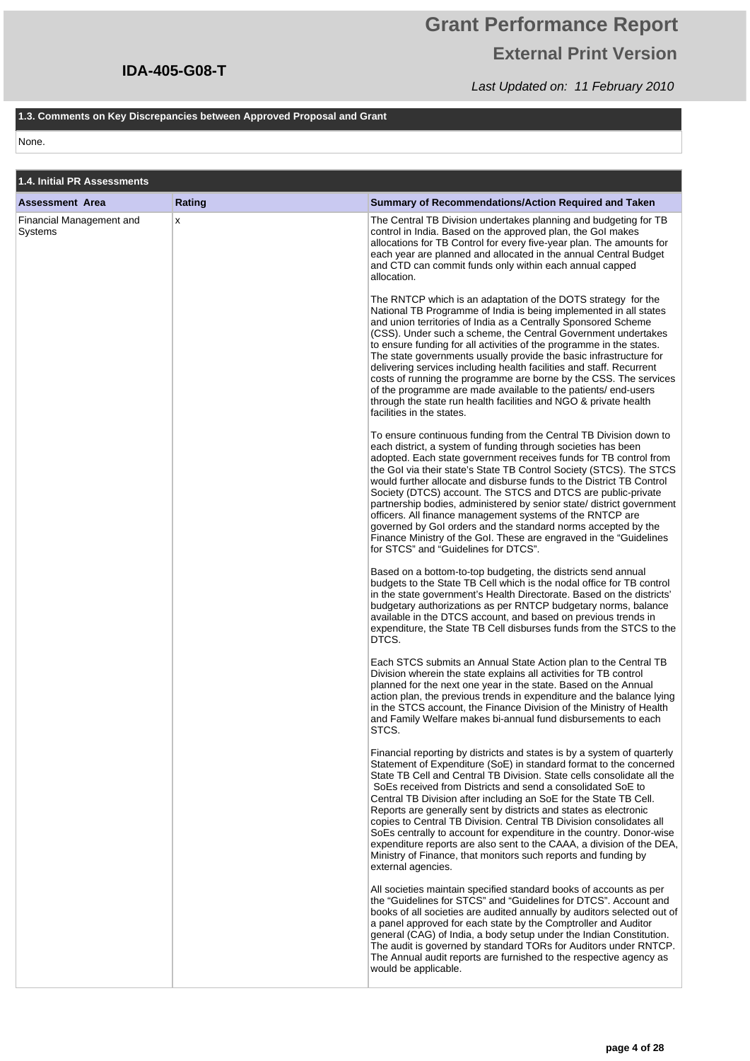# **Grant Performance Report External Print Version**

Last Updated on: 11 February 2010

#### **1.3. Comments on Key Discrepancies between Approved Proposal and Grant**

None.

| 1.4. Initial PR Assessments         |               |                                                                                                                                                                                                                                                                                                                                                                                                                                                                                                                                                                                                                                                                                                                                                 |
|-------------------------------------|---------------|-------------------------------------------------------------------------------------------------------------------------------------------------------------------------------------------------------------------------------------------------------------------------------------------------------------------------------------------------------------------------------------------------------------------------------------------------------------------------------------------------------------------------------------------------------------------------------------------------------------------------------------------------------------------------------------------------------------------------------------------------|
| <b>Assessment Area</b>              | <b>Rating</b> | Summary of Recommendations/Action Required and Taken                                                                                                                                                                                                                                                                                                                                                                                                                                                                                                                                                                                                                                                                                            |
| Financial Management and<br>Systems | x             | The Central TB Division undertakes planning and budgeting for TB<br>control in India. Based on the approved plan, the Gol makes<br>allocations for TB Control for every five-year plan. The amounts for<br>each year are planned and allocated in the annual Central Budget<br>and CTD can commit funds only within each annual capped<br>allocation.                                                                                                                                                                                                                                                                                                                                                                                           |
|                                     |               | The RNTCP which is an adaptation of the DOTS strategy for the<br>National TB Programme of India is being implemented in all states<br>and union territories of India as a Centrally Sponsored Scheme<br>(CSS). Under such a scheme, the Central Government undertakes<br>to ensure funding for all activities of the programme in the states.<br>The state governments usually provide the basic infrastructure for<br>delivering services including health facilities and staff. Recurrent<br>costs of running the programme are borne by the CSS. The services<br>of the programme are made available to the patients/ end-users<br>through the state run health facilities and NGO & private health<br>facilities in the states.             |
|                                     |               | To ensure continuous funding from the Central TB Division down to<br>each district, a system of funding through societies has been<br>adopted. Each state government receives funds for TB control from<br>the Gol via their state's State TB Control Society (STCS). The STCS<br>would further allocate and disburse funds to the District TB Control<br>Society (DTCS) account. The STCS and DTCS are public-private<br>partnership bodies, administered by senior state/ district government<br>officers. All finance management systems of the RNTCP are<br>governed by Gol orders and the standard norms accepted by the<br>Finance Ministry of the Gol. These are engraved in the "Guidelines"<br>for STCS" and "Guidelines for DTCS".    |
|                                     |               | Based on a bottom-to-top budgeting, the districts send annual<br>budgets to the State TB Cell which is the nodal office for TB control<br>in the state government's Health Directorate. Based on the districts'<br>budgetary authorizations as per RNTCP budgetary norms, balance<br>available in the DTCS account, and based on previous trends in<br>expenditure, the State TB Cell disburses funds from the STCS to the<br>DTCS.                                                                                                                                                                                                                                                                                                             |
|                                     |               | Each STCS submits an Annual State Action plan to the Central TB<br>Division wherein the state explains all activities for TB control<br>planned for the next one year in the state. Based on the Annual<br>action plan, the previous trends in expenditure and the balance lying<br>in the STCS account, the Finance Division of the Ministry of Health<br>and Family Welfare makes bi-annual fund disbursements to each<br>STCS.                                                                                                                                                                                                                                                                                                               |
|                                     |               | Financial reporting by districts and states is by a system of quarterly<br>Statement of Expenditure (SoE) in standard format to the concerned<br>State TB Cell and Central TB Division. State cells consolidate all the<br>SoEs received from Districts and send a consolidated SoE to<br>Central TB Division after including an SoE for the State TB Cell.<br>Reports are generally sent by districts and states as electronic<br>copies to Central TB Division. Central TB Division consolidates all<br>SoEs centrally to account for expenditure in the country. Donor-wise<br>expenditure reports are also sent to the CAAA, a division of the DEA,<br>Ministry of Finance, that monitors such reports and funding by<br>external agencies. |
|                                     |               | All societies maintain specified standard books of accounts as per<br>the "Guidelines for STCS" and "Guidelines for DTCS". Account and<br>books of all societies are audited annually by auditors selected out of<br>a panel approved for each state by the Comptroller and Auditor<br>general (CAG) of India, a body setup under the Indian Constitution.<br>The audit is governed by standard TORs for Auditors under RNTCP.<br>The Annual audit reports are furnished to the respective agency as<br>would be applicable.                                                                                                                                                                                                                    |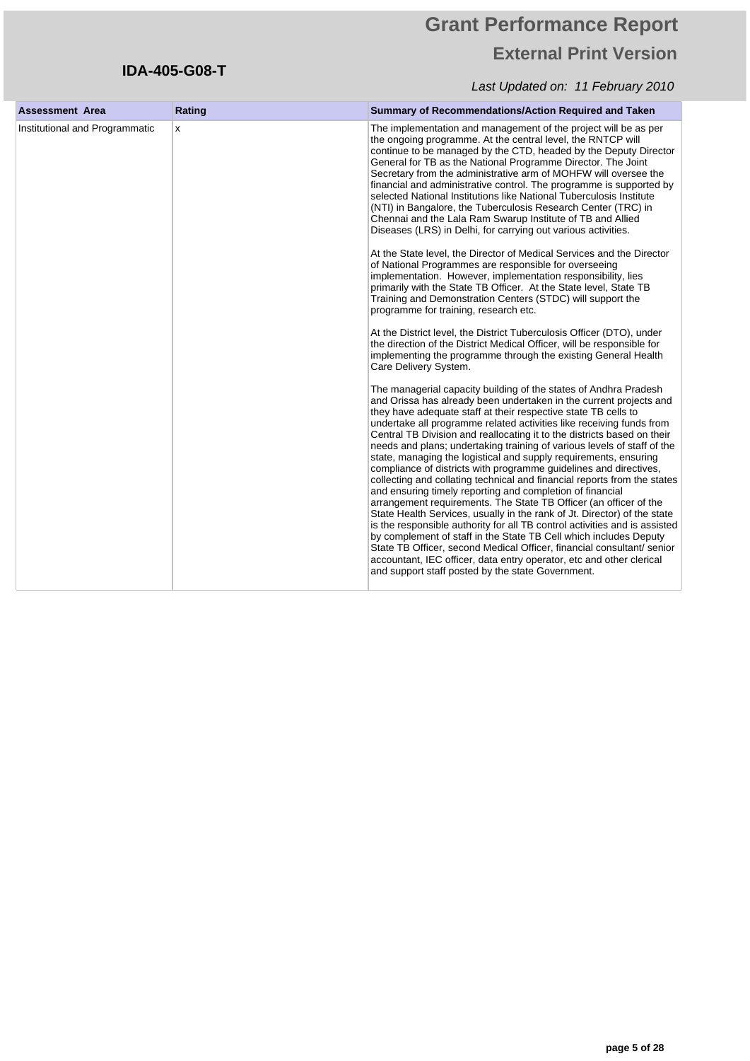# **Grant Performance Report External Print Version**

| <b>Assessment Area</b>         | Rating | Summary of Recommendations/Action Required and Taken                                                                                                                                                                                                                                                                                                                                                                                                                                                                                                                                                                                                                                                                                                                                                                                                                                                                                                                                                                                                                                                                                                                                                                                                                                                                                                                                                                                                                                                                                                                                                                                                                                                                                                                                                                                                                                                                                                                                                                                                                                                                                                                                         |
|--------------------------------|--------|----------------------------------------------------------------------------------------------------------------------------------------------------------------------------------------------------------------------------------------------------------------------------------------------------------------------------------------------------------------------------------------------------------------------------------------------------------------------------------------------------------------------------------------------------------------------------------------------------------------------------------------------------------------------------------------------------------------------------------------------------------------------------------------------------------------------------------------------------------------------------------------------------------------------------------------------------------------------------------------------------------------------------------------------------------------------------------------------------------------------------------------------------------------------------------------------------------------------------------------------------------------------------------------------------------------------------------------------------------------------------------------------------------------------------------------------------------------------------------------------------------------------------------------------------------------------------------------------------------------------------------------------------------------------------------------------------------------------------------------------------------------------------------------------------------------------------------------------------------------------------------------------------------------------------------------------------------------------------------------------------------------------------------------------------------------------------------------------------------------------------------------------------------------------------------------------|
| Institutional and Programmatic | x      | The implementation and management of the project will be as per<br>the ongoing programme. At the central level, the RNTCP will<br>continue to be managed by the CTD, headed by the Deputy Director<br>General for TB as the National Programme Director. The Joint<br>Secretary from the administrative arm of MOHFW will oversee the<br>financial and administrative control. The programme is supported by<br>selected National Institutions like National Tuberculosis Institute<br>(NTI) in Bangalore, the Tuberculosis Research Center (TRC) in<br>Chennai and the Lala Ram Swarup Institute of TB and Allied<br>Diseases (LRS) in Delhi, for carrying out various activities.<br>At the State level, the Director of Medical Services and the Director<br>of National Programmes are responsible for overseeing<br>implementation. However, implementation responsibility, lies<br>primarily with the State TB Officer. At the State level, State TB<br>Training and Demonstration Centers (STDC) will support the<br>programme for training, research etc.<br>At the District level, the District Tuberculosis Officer (DTO), under<br>the direction of the District Medical Officer, will be responsible for<br>implementing the programme through the existing General Health<br>Care Delivery System.<br>The managerial capacity building of the states of Andhra Pradesh<br>and Orissa has already been undertaken in the current projects and<br>they have adequate staff at their respective state TB cells to<br>undertake all programme related activities like receiving funds from<br>Central TB Division and reallocating it to the districts based on their<br>needs and plans; undertaking training of various levels of staff of the<br>state, managing the logistical and supply requirements, ensuring<br>compliance of districts with programme guidelines and directives,<br>collecting and collating technical and financial reports from the states<br>and ensuring timely reporting and completion of financial<br>arrangement requirements. The State TB Officer (an officer of the<br>State Health Services, usually in the rank of Jt. Director) of the state |
|                                |        | is the responsible authority for all TB control activities and is assisted<br>by complement of staff in the State TB Cell which includes Deputy<br>State TB Officer, second Medical Officer, financial consultant/senior<br>accountant, IEC officer, data entry operator, etc and other clerical<br>and support staff posted by the state Government.                                                                                                                                                                                                                                                                                                                                                                                                                                                                                                                                                                                                                                                                                                                                                                                                                                                                                                                                                                                                                                                                                                                                                                                                                                                                                                                                                                                                                                                                                                                                                                                                                                                                                                                                                                                                                                        |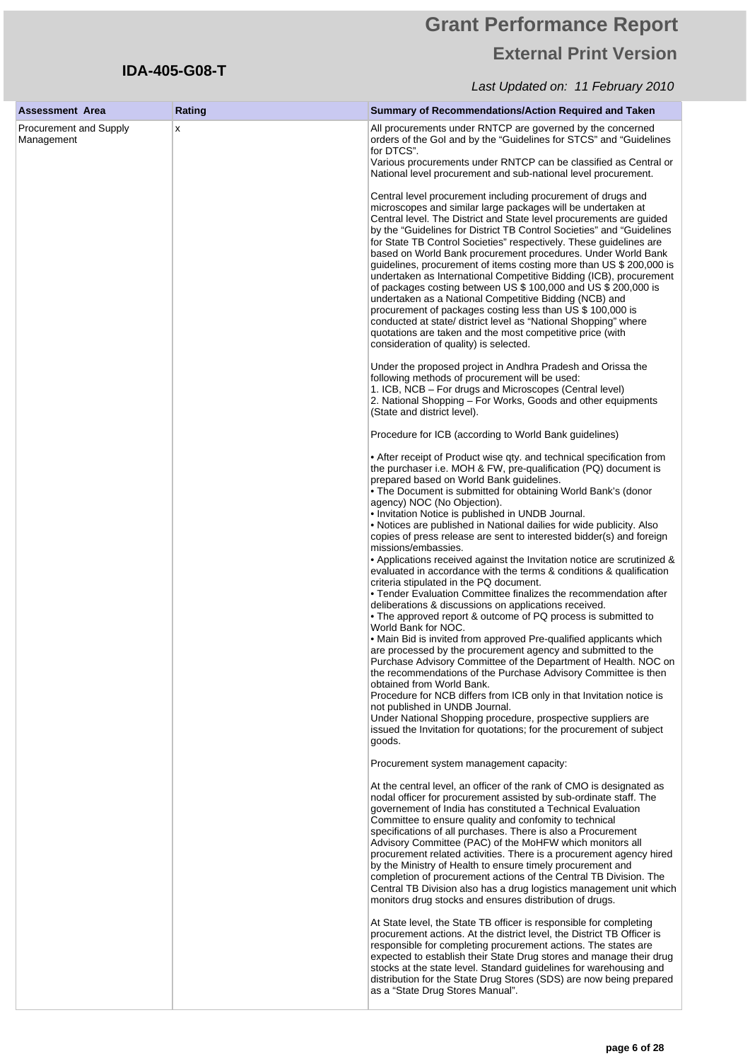# **Grant Performance Report External Print Version**

| <b>Assessment Area</b>               | Rating | Summary of Recommendations/Action Required and Taken                                                                                                                                                                                                                                                                                                                                                                                                                                                                                                                                                                                                                                                                                                                                                                                                                                                                               |
|--------------------------------------|--------|------------------------------------------------------------------------------------------------------------------------------------------------------------------------------------------------------------------------------------------------------------------------------------------------------------------------------------------------------------------------------------------------------------------------------------------------------------------------------------------------------------------------------------------------------------------------------------------------------------------------------------------------------------------------------------------------------------------------------------------------------------------------------------------------------------------------------------------------------------------------------------------------------------------------------------|
| Procurement and Supply<br>Management | x      | All procurements under RNTCP are governed by the concerned<br>orders of the Gol and by the "Guidelines for STCS" and "Guidelines<br>for DTCS".<br>Various procurements under RNTCP can be classified as Central or<br>National level procurement and sub-national level procurement.                                                                                                                                                                                                                                                                                                                                                                                                                                                                                                                                                                                                                                               |
|                                      |        | Central level procurement including procurement of drugs and<br>microscopes and similar large packages will be undertaken at<br>Central level. The District and State level procurements are guided<br>by the "Guidelines for District TB Control Societies" and "Guidelines"<br>for State TB Control Societies" respectively. These guidelines are<br>based on World Bank procurement procedures. Under World Bank<br>guidelines, procurement of items costing more than US \$200,000 is<br>undertaken as International Competitive Bidding (ICB), procurement<br>of packages costing between US $$100,000$ and US $$200,000$ is<br>undertaken as a National Competitive Bidding (NCB) and<br>procurement of packages costing less than US \$100,000 is<br>conducted at state/ district level as "National Shopping" where<br>quotations are taken and the most competitive price (with<br>consideration of quality) is selected. |
|                                      |        | Under the proposed project in Andhra Pradesh and Orissa the<br>following methods of procurement will be used:<br>1. ICB, NCB – For drugs and Microscopes (Central level)<br>2. National Shopping – For Works, Goods and other equipments<br>(State and district level).                                                                                                                                                                                                                                                                                                                                                                                                                                                                                                                                                                                                                                                            |
|                                      |        | Procedure for ICB (according to World Bank guidelines)                                                                                                                                                                                                                                                                                                                                                                                                                                                                                                                                                                                                                                                                                                                                                                                                                                                                             |
|                                      |        | • After receipt of Product wise gty. and technical specification from<br>the purchaser i.e. MOH & FW, pre-qualification (PQ) document is<br>prepared based on World Bank guidelines.<br>• The Document is submitted for obtaining World Bank's (donor<br>agency) NOC (No Objection).<br>• Invitation Notice is published in UNDB Journal.<br>• Notices are published in National dailies for wide publicity. Also<br>copies of press release are sent to interested bidder(s) and foreign<br>missions/embassies.<br>• Applications received against the Invitation notice are scrutinized &<br>evaluated in accordance with the terms & conditions & qualification<br>criteria stipulated in the PQ document.<br>• Tender Evaluation Committee finalizes the recommendation after<br>deliberations & discussions on applications received.<br>• The approved report & outcome of PQ process is submitted to                        |
|                                      |        | World Bank for NOC.<br>• Main Bid is invited from approved Pre-qualified applicants which<br>are processed by the procurement agency and submitted to the<br>Purchase Advisory Committee of the Department of Health. NOC on<br>the recommendations of the Purchase Advisory Committee is then<br>obtained from World Bank.<br>Procedure for NCB differs from ICB only in that Invitation notice is<br>not published in UNDB Journal.<br>Under National Shopping procedure, prospective suppliers are<br>issued the Invitation for quotations; for the procurement of subject<br>goods.                                                                                                                                                                                                                                                                                                                                            |
|                                      |        | Procurement system management capacity:                                                                                                                                                                                                                                                                                                                                                                                                                                                                                                                                                                                                                                                                                                                                                                                                                                                                                            |
|                                      |        | At the central level, an officer of the rank of CMO is designated as<br>nodal officer for procurement assisted by sub-ordinate staff. The<br>governement of India has constituted a Technical Evaluation<br>Committee to ensure quality and confomity to technical<br>specifications of all purchases. There is also a Procurement<br>Advisory Committee (PAC) of the MoHFW which monitors all<br>procurement related activities. There is a procurement agency hired<br>by the Ministry of Health to ensure timely procurement and<br>completion of procurement actions of the Central TB Division. The<br>Central TB Division also has a drug logistics management unit which<br>monitors drug stocks and ensures distribution of drugs.                                                                                                                                                                                         |
|                                      |        | At State level, the State TB officer is responsible for completing<br>procurement actions. At the district level, the District TB Officer is<br>responsible for completing procurement actions. The states are<br>expected to establish their State Drug stores and manage their drug<br>stocks at the state level. Standard guidelines for warehousing and<br>distribution for the State Drug Stores (SDS) are now being prepared<br>as a "State Drug Stores Manual".                                                                                                                                                                                                                                                                                                                                                                                                                                                             |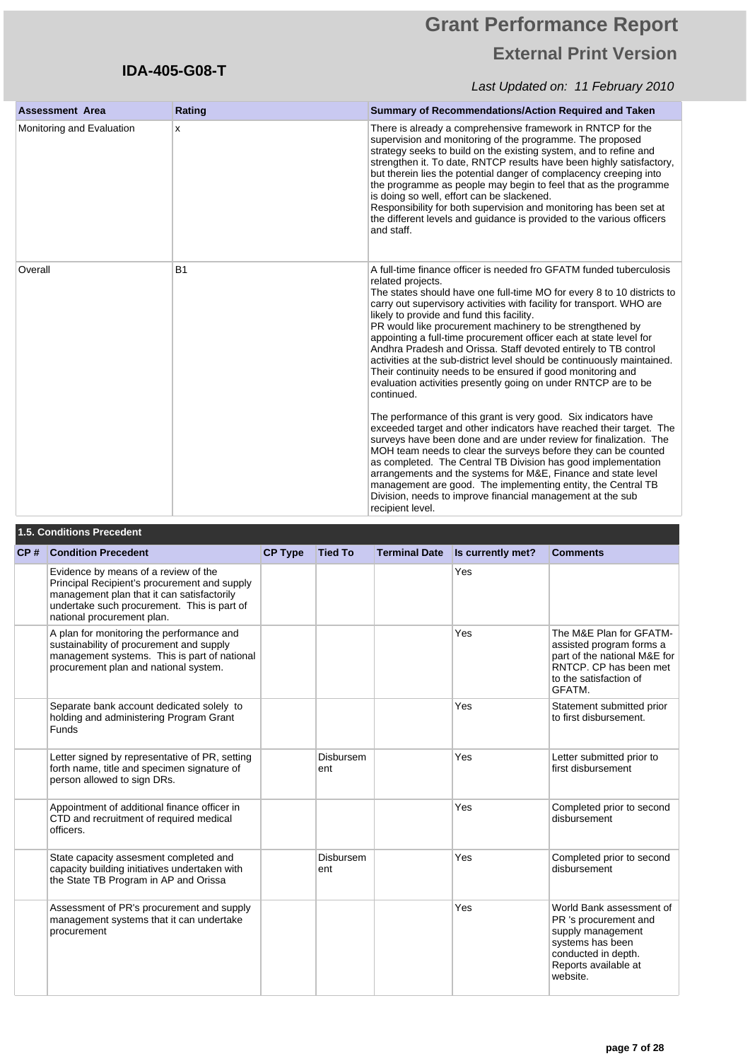## **IDA-405-G08-T**

| <b>Assessment Area</b>    | Rating         | <b>Summary of Recommendations/Action Required and Taken</b>                                                                                                                                                                                                                                                                                                                                                                                                                                                                                                                                                                                                                                                                                                                                                                                                                                                                                                                                                                                                                                                                                                                                                                                                                                   |
|---------------------------|----------------|-----------------------------------------------------------------------------------------------------------------------------------------------------------------------------------------------------------------------------------------------------------------------------------------------------------------------------------------------------------------------------------------------------------------------------------------------------------------------------------------------------------------------------------------------------------------------------------------------------------------------------------------------------------------------------------------------------------------------------------------------------------------------------------------------------------------------------------------------------------------------------------------------------------------------------------------------------------------------------------------------------------------------------------------------------------------------------------------------------------------------------------------------------------------------------------------------------------------------------------------------------------------------------------------------|
| Monitoring and Evaluation | x              | There is already a comprehensive framework in RNTCP for the<br>supervision and monitoring of the programme. The proposed<br>strategy seeks to build on the existing system, and to refine and<br>strengthen it. To date, RNTCP results have been highly satisfactory,<br>but therein lies the potential danger of complacency creeping into<br>the programme as people may begin to feel that as the programme<br>is doing so well, effort can be slackened.<br>Responsibility for both supervision and monitoring has been set at<br>the different levels and guidance is provided to the various officers<br>and staff.                                                                                                                                                                                                                                                                                                                                                                                                                                                                                                                                                                                                                                                                     |
| Overall                   | B <sub>1</sub> | A full-time finance officer is needed fro GFATM funded tuberculosis<br>related projects.<br>The states should have one full-time MO for every 8 to 10 districts to<br>carry out supervisory activities with facility for transport. WHO are<br>likely to provide and fund this facility.<br>PR would like procurement machinery to be strengthened by<br>appointing a full-time procurement officer each at state level for<br>Andhra Pradesh and Orissa. Staff devoted entirely to TB control<br>activities at the sub-district level should be continuously maintained.<br>Their continuity needs to be ensured if good monitoring and<br>evaluation activities presently going on under RNTCP are to be<br>continued.<br>The performance of this grant is very good. Six indicators have<br>exceeded target and other indicators have reached their target. The<br>surveys have been done and are under review for finalization. The<br>MOH team needs to clear the surveys before they can be counted<br>as completed. The Central TB Division has good implementation<br>arrangements and the systems for M&E, Finance and state level<br>management are good. The implementing entity, the Central TB<br>Division, needs to improve financial management at the sub<br>recipient level. |

|     | <b>1.5. Conditions Precedent</b>                                                                                                                                                                                |                |                         |                      |                   |                                                                                                                                                       |
|-----|-----------------------------------------------------------------------------------------------------------------------------------------------------------------------------------------------------------------|----------------|-------------------------|----------------------|-------------------|-------------------------------------------------------------------------------------------------------------------------------------------------------|
| CP# | <b>Condition Precedent</b>                                                                                                                                                                                      | <b>CP Type</b> | <b>Tied To</b>          | <b>Terminal Date</b> | Is currently met? | <b>Comments</b>                                                                                                                                       |
|     | Evidence by means of a review of the<br>Principal Recipient's procurement and supply<br>management plan that it can satisfactorily<br>undertake such procurement. This is part of<br>national procurement plan. |                |                         |                      | Yes               |                                                                                                                                                       |
|     | A plan for monitoring the performance and<br>sustainability of procurement and supply<br>management systems. This is part of national<br>procurement plan and national system.                                  |                |                         |                      | Yes               | The M&E Plan for GFATM-<br>assisted program forms a<br>part of the national M&E for<br>RNTCP. CP has been met<br>to the satisfaction of<br>GFATM.     |
|     | Separate bank account dedicated solely to<br>holding and administering Program Grant<br>Funds                                                                                                                   |                |                         |                      | Yes               | Statement submitted prior<br>to first disbursement.                                                                                                   |
|     | Letter signed by representative of PR, setting<br>forth name, title and specimen signature of<br>person allowed to sign DRs.                                                                                    |                | <b>Disbursem</b><br>ent |                      | Yes               | Letter submitted prior to<br>first disbursement                                                                                                       |
|     | Appointment of additional finance officer in<br>CTD and recruitment of required medical<br>officers.                                                                                                            |                |                         |                      | Yes               | Completed prior to second<br>disbursement                                                                                                             |
|     | State capacity assesment completed and<br>capacity building initiatives undertaken with<br>the State TB Program in AP and Orissa                                                                                |                | <b>Disbursem</b><br>ent |                      | Yes               | Completed prior to second<br>disbursement                                                                                                             |
|     | Assessment of PR's procurement and supply<br>management systems that it can undertake<br>procurement                                                                                                            |                |                         |                      | Yes               | World Bank assessment of<br>PR 's procurement and<br>supply management<br>systems has been<br>conducted in depth.<br>Reports available at<br>website. |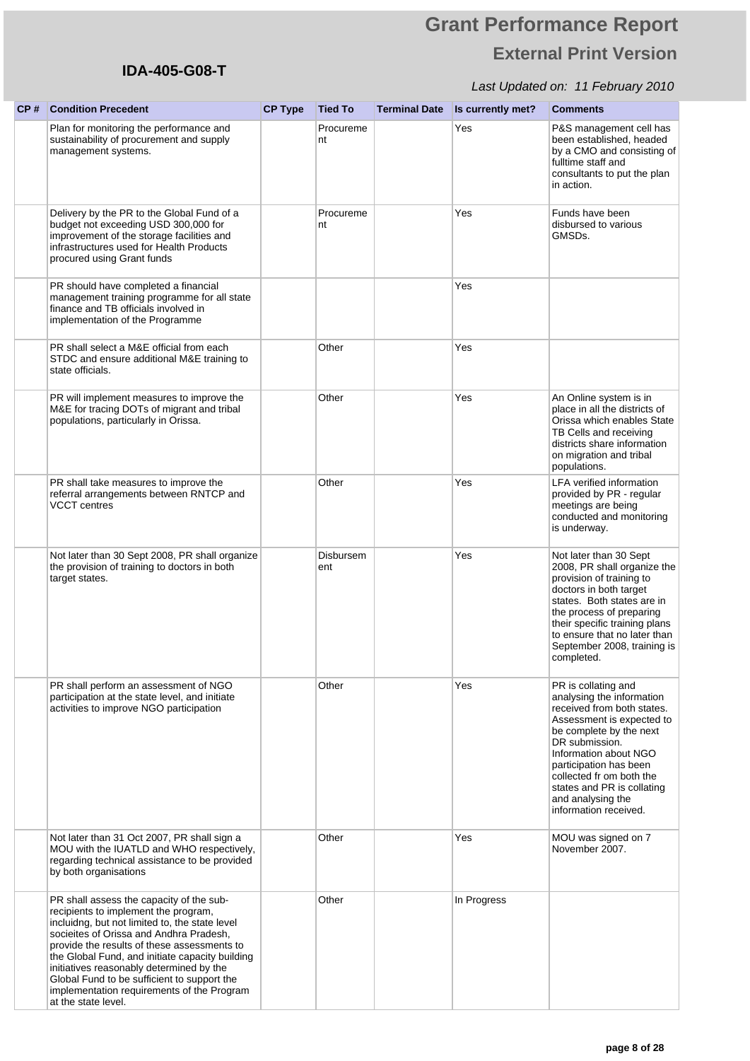# **Grant Performance Report External Print Version**

| CP# | <b>Condition Precedent</b>                                                                                                                                                                                                                                                                                                                                                                                                                      | <b>CP Type</b> | <b>Tied To</b>   | <b>Terminal Date</b> | Is currently met? | <b>Comments</b>                                                                                                                                                                                                                                                                                                     |
|-----|-------------------------------------------------------------------------------------------------------------------------------------------------------------------------------------------------------------------------------------------------------------------------------------------------------------------------------------------------------------------------------------------------------------------------------------------------|----------------|------------------|----------------------|-------------------|---------------------------------------------------------------------------------------------------------------------------------------------------------------------------------------------------------------------------------------------------------------------------------------------------------------------|
|     | Plan for monitoring the performance and<br>sustainability of procurement and supply<br>management systems.                                                                                                                                                                                                                                                                                                                                      |                | Procureme<br>nt  |                      | Yes               | P&S management cell has<br>been established, headed<br>by a CMO and consisting of<br>fulltime staff and<br>consultants to put the plan<br>in action.                                                                                                                                                                |
|     | Delivery by the PR to the Global Fund of a<br>budget not exceeding USD 300,000 for<br>improvement of the storage facilities and<br>infrastructures used for Health Products<br>procured using Grant funds                                                                                                                                                                                                                                       |                | Procureme<br>nt  |                      | Yes               | Funds have been<br>disbursed to various<br>GMSDs.                                                                                                                                                                                                                                                                   |
|     | PR should have completed a financial<br>management training programme for all state<br>finance and TB officials involved in<br>implementation of the Programme                                                                                                                                                                                                                                                                                  |                |                  |                      | Yes               |                                                                                                                                                                                                                                                                                                                     |
|     | PR shall select a M&E official from each<br>STDC and ensure additional M&E training to<br>state officials.                                                                                                                                                                                                                                                                                                                                      |                | Other            |                      | Yes               |                                                                                                                                                                                                                                                                                                                     |
|     | PR will implement measures to improve the<br>M&E for tracing DOTs of migrant and tribal<br>populations, particularly in Orissa.                                                                                                                                                                                                                                                                                                                 |                | Other            |                      | Yes               | An Online system is in<br>place in all the districts of<br>Orissa which enables State<br>TB Cells and receiving<br>districts share information<br>on migration and tribal<br>populations.                                                                                                                           |
|     | PR shall take measures to improve the<br>referral arrangements between RNTCP and<br><b>VCCT</b> centres                                                                                                                                                                                                                                                                                                                                         |                | Other            |                      | Yes               | <b>LFA</b> verified information<br>provided by PR - regular<br>meetings are being<br>conducted and monitoring<br>is underway.                                                                                                                                                                                       |
|     | Not later than 30 Sept 2008, PR shall organize<br>the provision of training to doctors in both<br>target states.                                                                                                                                                                                                                                                                                                                                |                | Disbursem<br>ent |                      | Yes               | Not later than 30 Sept<br>2008, PR shall organize the<br>provision of training to<br>doctors in both target<br>states. Both states are in<br>the process of preparing<br>their specific training plans<br>to ensure that no later than<br>September 2008, training is<br>completed.                                 |
|     | PR shall perform an assessment of NGO<br>participation at the state level, and initiate<br>activities to improve NGO participation                                                                                                                                                                                                                                                                                                              |                | Other            |                      | Yes               | PR is collating and<br>analysing the information<br>received from both states.<br>Assessment is expected to<br>be complete by the next<br>DR submission.<br>Information about NGO<br>participation has been<br>collected fr om both the<br>states and PR is collating<br>and analysing the<br>information received. |
|     | Not later than 31 Oct 2007, PR shall sign a<br>MOU with the IUATLD and WHO respectively,<br>regarding technical assistance to be provided<br>by both organisations                                                                                                                                                                                                                                                                              |                | Other            |                      | Yes               | MOU was signed on 7<br>November 2007.                                                                                                                                                                                                                                                                               |
|     | PR shall assess the capacity of the sub-<br>recipients to implement the program,<br>incluidng, but not limited to, the state level<br>socieites of Orissa and Andhra Pradesh,<br>provide the results of these assessments to<br>the Global Fund, and initiate capacity building<br>initiatives reasonably determined by the<br>Global Fund to be sufficient to support the<br>implementation requirements of the Program<br>at the state level. |                | Other            |                      | In Progress       |                                                                                                                                                                                                                                                                                                                     |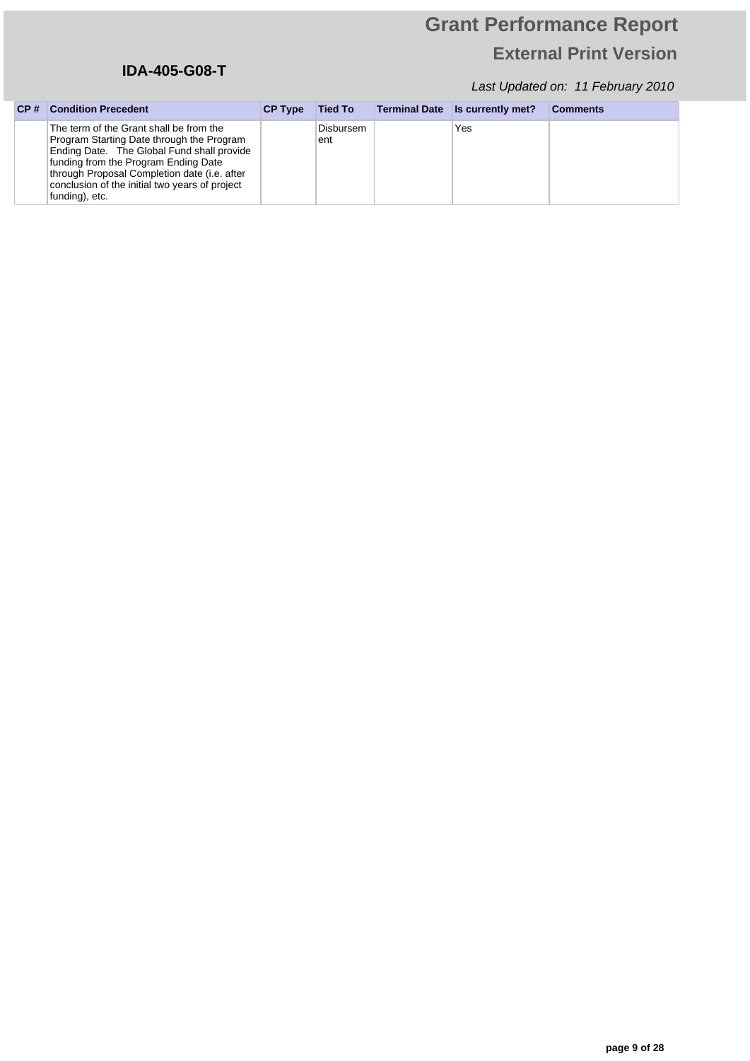## **IDA-405-G08-T**

| CP# | <b>Condition Precedent</b>                                                                                                                                                                                                                                                                     | <b>CP Type</b> | <b>Tied To</b>          | <b>Terminal Date</b> Is currently met? | <b>Comments</b> |
|-----|------------------------------------------------------------------------------------------------------------------------------------------------------------------------------------------------------------------------------------------------------------------------------------------------|----------------|-------------------------|----------------------------------------|-----------------|
|     | The term of the Grant shall be from the<br>Program Starting Date through the Program<br>Ending Date. The Global Fund shall provide<br>funding from the Program Ending Date<br>through Proposal Completion date (i.e. after<br>conclusion of the initial two years of project<br>funding), etc. |                | <b>Disbursem</b><br>ent | Yes                                    |                 |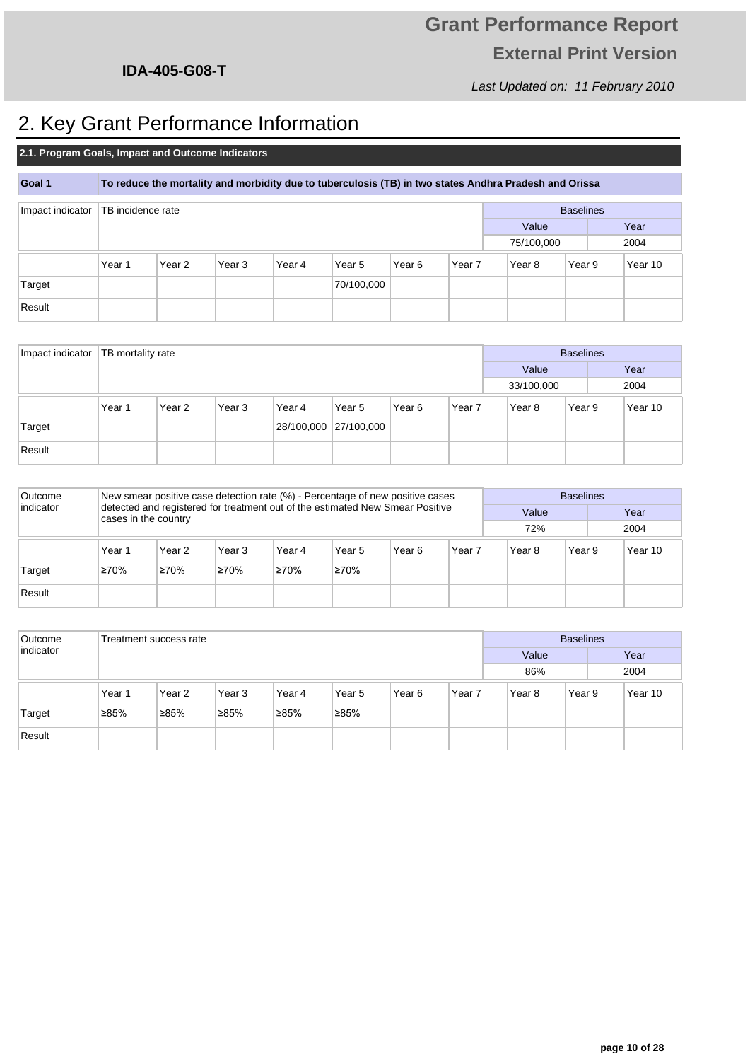#### Last Updated on: 11 February 2010

# 2. Key Grant Performance Information

| 2.1. Program Goals, Impact and Outcome Indicators |                                                                                                        |        |        |        |            |        |        |            |        |  |         |
|---------------------------------------------------|--------------------------------------------------------------------------------------------------------|--------|--------|--------|------------|--------|--------|------------|--------|--|---------|
| Goal 1                                            | To reduce the mortality and morbidity due to tuberculosis (TB) in two states Andhra Pradesh and Orissa |        |        |        |            |        |        |            |        |  |         |
| Impact indicator                                  | TB incidence rate<br><b>Baselines</b>                                                                  |        |        |        |            |        |        |            |        |  |         |
|                                                   |                                                                                                        |        |        |        |            |        |        | Value      |        |  | Year    |
|                                                   |                                                                                                        |        |        |        |            |        |        | 75/100,000 |        |  | 2004    |
|                                                   | Year <sub>1</sub>                                                                                      | Year 2 | Year 3 | Year 4 | Year 5     | Year 6 | Year 7 | Year 8     | Year 9 |  | Year 10 |
| Target                                            |                                                                                                        |        |        |        | 70/100,000 |        |        |            |        |  |         |
| Result                                            |                                                                                                        |        |        |        |            |        |        |            |        |  |         |

| Impact indicator | TB mortality rate |        |                    |                       |        |                   |        |  | <b>Baselines</b> |        |  |         |
|------------------|-------------------|--------|--------------------|-----------------------|--------|-------------------|--------|--|------------------|--------|--|---------|
|                  |                   |        |                    |                       |        |                   |        |  |                  |        |  | Year    |
|                  |                   |        | 2004<br>33/100,000 |                       |        |                   |        |  |                  |        |  |         |
|                  | Year 1            | Year 2 | Year <sub>3</sub>  | Year 4                | Year 5 | Year <sub>6</sub> | Year 7 |  | Year 8           | Year 9 |  | Year 10 |
| Target           |                   |        |                    | 28/100,000 27/100,000 |        |                   |        |  |                  |        |  |         |
| Result           |                   |        |                    |                       |        |                   |        |  |                  |        |  |         |

| Outcome   |                      | New smear positive case detection rate (%) - Percentage of new positive cases |             |             | <b>Baselines</b> |        |        |        |             |         |
|-----------|----------------------|-------------------------------------------------------------------------------|-------------|-------------|------------------|--------|--------|--------|-------------|---------|
| indicator |                      | detected and registered for treatment out of the estimated New Smear Positive |             |             | Value            |        | Year   |        |             |         |
|           | cases in the country |                                                                               |             |             |                  |        |        |        | 72%<br>2004 |         |
|           | Year 1               | Year 2                                                                        | Year 3      | Year 4      | Year 5           | Year 6 | Year 7 | Year 8 | Year 9      | Year 10 |
| Target    | $\geq 70\%$          | $\geq 70\%$                                                                   | $\geq 70\%$ | $\geq 70\%$ | $\geq 70\%$      |        |        |        |             |         |
| Result    |                      |                                                                               |             |             |                  |        |        |        |             |         |

| Outcome<br>Treatment success rate |        |        |        |        |        |        |                   |  | <b>Baselines</b> |        |         |  |
|-----------------------------------|--------|--------|--------|--------|--------|--------|-------------------|--|------------------|--------|---------|--|
| indicator                         |        |        |        |        |        |        |                   |  | Value            |        | Year    |  |
|                                   |        |        |        |        |        |        |                   |  | 86%              |        | 2004    |  |
|                                   | Year 1 | Year 2 | Year 3 | Year 4 | Year 5 | Year 6 | Year <sub>7</sub> |  | Year 8           | Year 9 | Year 10 |  |
| Target                            | >85%   | ≥85%   | ≥85%   | ≥85%   | ≥85%   |        |                   |  |                  |        |         |  |
| Result                            |        |        |        |        |        |        |                   |  |                  |        |         |  |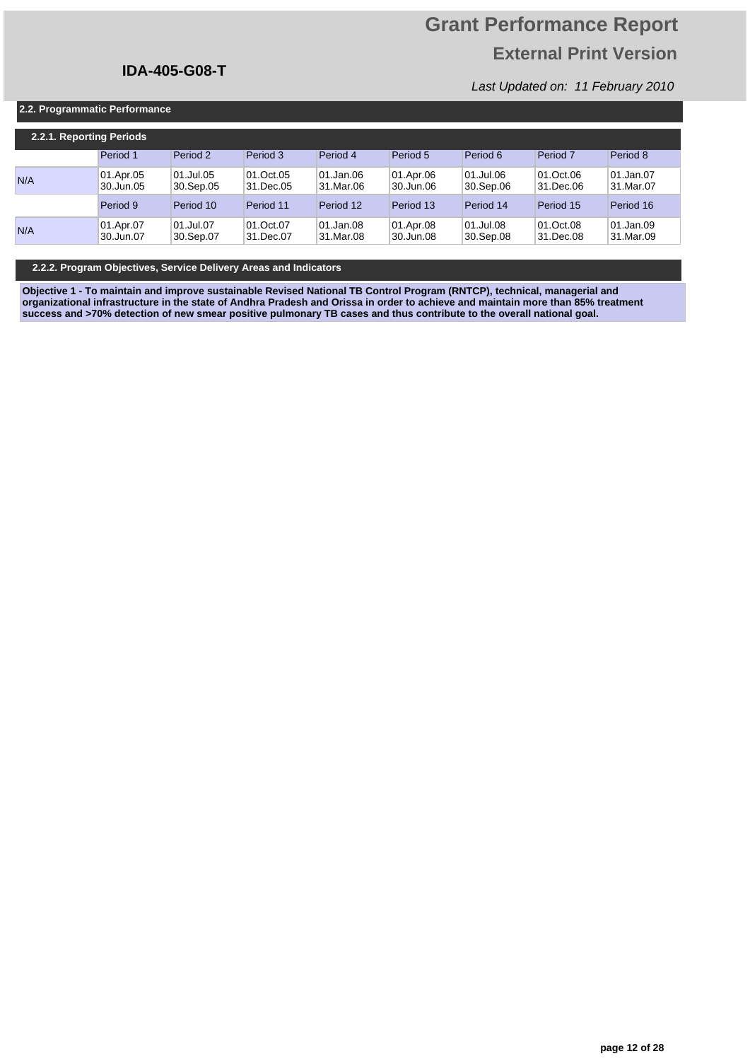# **Grant Performance Report External Print Version**

Last Updated on: 11 February 2010

#### **2.2. Programmatic Performance**

| 2.2.1. Reporting Periods |                        |                               |                        |                        |                        |                           |                        |                        |  |  |
|--------------------------|------------------------|-------------------------------|------------------------|------------------------|------------------------|---------------------------|------------------------|------------------------|--|--|
|                          | Period 1               | Period 2                      | Period 3               | Period 4               | Period 5               | Period 6                  | Period <sub>7</sub>    | Period 8               |  |  |
| N/A                      | 01.Apr.05<br>30.Jun.05 | 01.Jul.05<br>30.Sep.05        | 01.Oct.05<br>31.Dec.05 | 01.Jan.06<br>31.Mar.06 | 01.Apr.06<br>30.Jun.06 | $01$ .Jul.06<br>30.Sep.06 | 01.Oct.06<br>31.Dec.06 | 01.Jan.07<br>31.Mar.07 |  |  |
|                          | Period 9               | Period 10                     | Period 11              | Period 12              | Period 13              | Period 14                 | Period 15              | Period 16              |  |  |
| N/A                      | 01.Apr.07<br>30.Jun.07 | $ 01$ .Jul. $07$<br>30.Sep.07 | 01.Oct.07<br>31.Dec.07 | 01.Jan.08<br>31.Mar.08 | 01.Apr.08<br>30.Jun.08 | $01$ .Jul.08<br>30.Sep.08 | 01.Oct.08<br>31.Dec.08 | 01.Jan.09<br>31.Mar.09 |  |  |

#### **2.2.2. Program Objectives, Service Delivery Areas and Indicators**

**Objective 1 - To maintain and improve sustainable Revised National TB Control Program (RNTCP), technical, managerial and organizational infrastructure in the state of Andhra Pradesh and Orissa in order to achieve and maintain more than 85% treatment success and >70% detection of new smear positive pulmonary TB cases and thus contribute to the overall national goal.**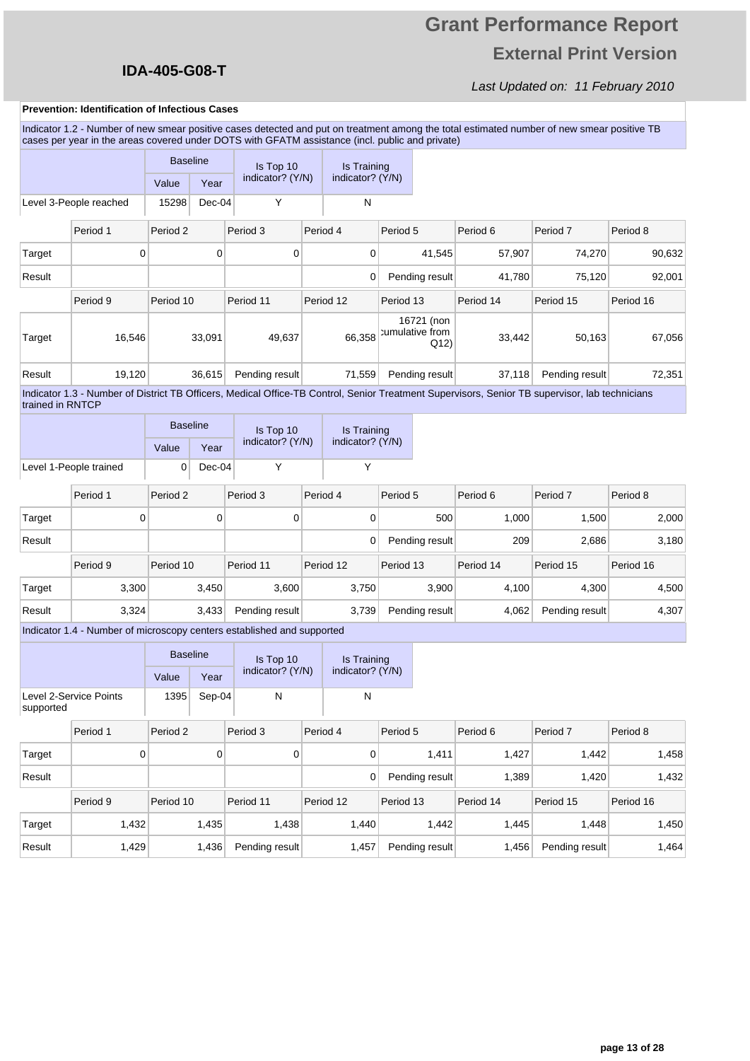# **Grant Performance Report External Print Version**

Last Updated on: 11 February 2010

#### **Prevention: Identification of Infectious Cases**

Indicator 1.2 - Number of new smear positive cases detected and put on treatment among the total estimated number of new smear positive TB cases per year in the areas covered under DOTS with GFATM assistance (incl. public and private)

|        | <b>Baseline</b>                                                                                                                                                    |                                  |        |                               |           |                                 |           |                                                  |           |                     |           |
|--------|--------------------------------------------------------------------------------------------------------------------------------------------------------------------|----------------------------------|--------|-------------------------------|-----------|---------------------------------|-----------|--------------------------------------------------|-----------|---------------------|-----------|
|        |                                                                                                                                                                    |                                  |        | Is Top 10<br>indicator? (Y/N) |           | Is Training<br>indicator? (Y/N) |           |                                                  |           |                     |           |
|        |                                                                                                                                                                    | Value                            | Year   |                               |           |                                 |           |                                                  |           |                     |           |
|        | Level 3-People reached                                                                                                                                             | 15298                            | Dec-04 | Υ                             |           | N                               |           |                                                  |           |                     |           |
|        | Period 1                                                                                                                                                           | Period <sub>2</sub>              |        | Period 3                      |           | Period 4                        |           | Period 5                                         | Period 6  | Period <sub>7</sub> | Period 8  |
| Target | $\mathbf 0$                                                                                                                                                        |                                  | 0      | 0                             |           | 0                               |           | 41,545                                           | 57,907    | 74,270              | 90,632    |
| Result |                                                                                                                                                                    |                                  |        |                               |           | $\Omega$                        |           | Pending result                                   | 41,780    | 75,120              | 92,001    |
|        | Period 9                                                                                                                                                           | Period 10                        |        | Period 11                     |           | Period 12                       | Period 13 |                                                  | Period 14 | Period 15           | Period 16 |
| Target | 16,546                                                                                                                                                             |                                  | 33,091 | 49,637                        |           | 66,358                          |           | 16721 (non<br>cumulative from<br>Q <sub>12</sub> | 33,442    | 50,163              | 67,056    |
| Result | 19,120                                                                                                                                                             |                                  | 36,615 | Pending result                |           | 71,559                          |           | Pending result                                   | 37,118    | Pending result      | 72,351    |
|        | Indicator 1.3 - Number of District TB Officers, Medical Office-TB Control, Senior Treatment Supervisors, Senior TB supervisor, lab technicians<br>trained in RNTCP |                                  |        |                               |           |                                 |           |                                                  |           |                     |           |
|        |                                                                                                                                                                    | <b>Baseline</b>                  |        | Is Top 10                     |           | Is Training                     |           |                                                  |           |                     |           |
|        |                                                                                                                                                                    | Value                            | Year   | indicator? (Y/N)              |           | indicator? (Y/N)                |           |                                                  |           |                     |           |
|        | Level 1-People trained                                                                                                                                             | 0                                | Dec-04 | Υ                             |           | Υ                               |           |                                                  |           |                     |           |
|        | Period 1                                                                                                                                                           | Period <sub>2</sub>              |        | Period 3                      | Period 4  |                                 | Period 5  |                                                  | Period 6  | Period 7            | Period 8  |
| Target | $\mathbf 0$                                                                                                                                                        |                                  | 0      | $\mathbf 0$                   |           | 0                               |           | 500                                              | 1,000     | 1,500               | 2,000     |
| Result |                                                                                                                                                                    |                                  |        |                               |           | $\mathbf 0$                     |           | Pending result                                   | 209       | 2,686               | 3,180     |
|        | Period 9                                                                                                                                                           | Period 10                        |        | Period 11                     | Period 12 |                                 | Period 13 |                                                  | Period 14 | Period 15           | Period 16 |
| Target | 3,300                                                                                                                                                              |                                  | 3,450  | 3,600                         | 3,750     |                                 |           | 3,900                                            | 4,100     | 4,300               | 4,500     |
| Result | 3,324                                                                                                                                                              |                                  | 3,433  | Pending result                | 3,739     |                                 |           | Pending result                                   | 4,062     | Pending result      | 4,307     |
|        | Indicator 1.4 - Number of microscopy centers established and supported                                                                                             |                                  |        |                               |           |                                 |           |                                                  |           |                     |           |
|        |                                                                                                                                                                    | <b>Baseline</b><br>$11 - 11 = 2$ |        | Is Top 10<br>indicator? (Y/N) |           | Is Training<br>indicator? (Y/N) |           |                                                  |           |                     |           |

|                                     | Value | Year   | $\mathbf{r}$ | $n$ ululuuttu : 11/1 |
|-------------------------------------|-------|--------|--------------|----------------------|
| Level 2-Service Points<br>supported | 1395  | Sep-04 |              | N                    |

|        | Period 1 | Period 2  | Period 3       | Period 4       | Period 5       | Period 6  | Period 7       | Period 8  |
|--------|----------|-----------|----------------|----------------|----------------|-----------|----------------|-----------|
| Target |          | 0         | 0              | $\overline{0}$ | 1,411          | 1,427     | 1.442          | 1,458     |
| Result |          |           |                | $\overline{0}$ | Pending result | 1,389     | 1,420          | 1,432     |
|        | Period 9 | Period 10 | Period 11      | Period 12      | Period 13      | Period 14 | Period 15      | Period 16 |
| Target | 1,432    | 1.435     | 1.438          | 1.440          | 1.442          | 1.445     | 1,448          | 1,450     |
| Result | 1,429    | 1,436     | Pending result | 1,457          | Pending result | 1,456     | Pending result | 1,464     |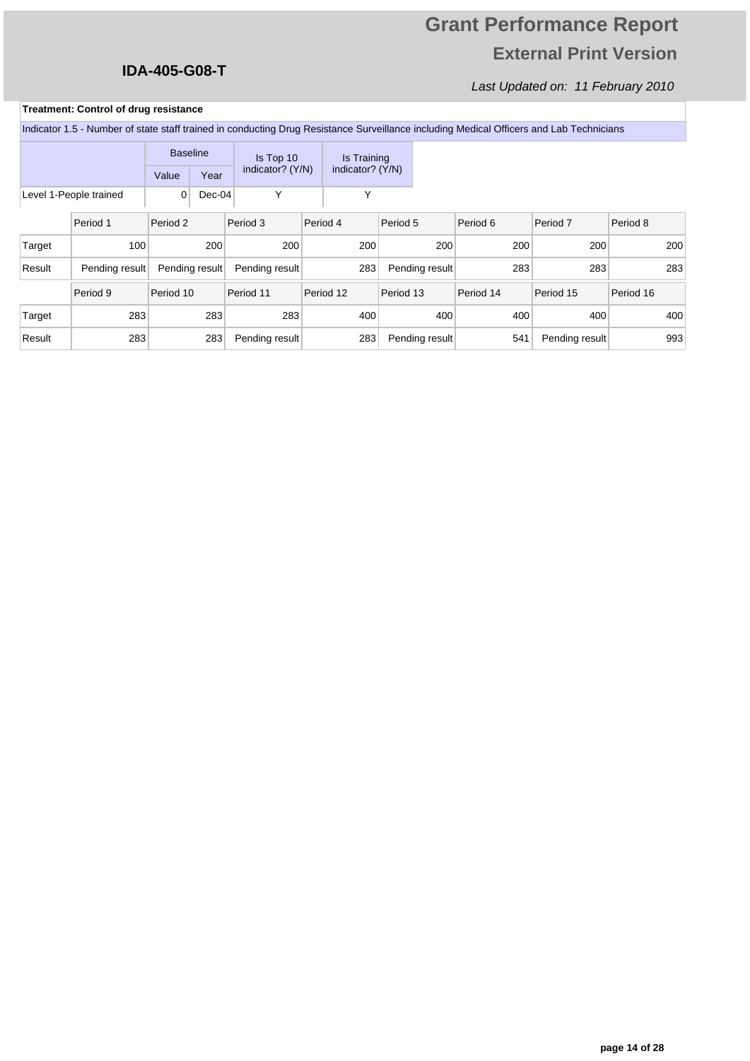### **IDA-405-G08-T**

#### Last Updated on: 11 February 2010

#### **Treatment: Control of drug resistance**

Indicator 1.5 - Number of state staff trained in conducting Drug Resistance Surveillance including Medical Officers and Lab Technicians

|        | <b>Baseline</b>        |                | Is Top 10 |                  | Is Training |                  |                |     |           |                |           |     |
|--------|------------------------|----------------|-----------|------------------|-------------|------------------|----------------|-----|-----------|----------------|-----------|-----|
|        |                        | Value          | Year      | indicator? (Y/N) |             | indicator? (Y/N) |                |     |           |                |           |     |
|        | Level 1-People trained | 0              | Dec-04    | Y                |             | $\checkmark$     |                |     |           |                |           |     |
|        | Period 1               | Period 2       |           | Period 3         | Period 4    |                  | Period 5       |     | Period 6  | Period 7       | Period 8  |     |
| Target | 100                    |                | 200       | 200              |             | 200              |                | 200 | 200       | 200            |           | 200 |
| Result | Pending result         | Pending result |           | Pending result   |             | 283              | Pending result |     | 283       | 283            |           | 283 |
|        | Period 9               | Period 10      |           | Period 11        | Period 12   |                  | Period 13      |     | Period 14 | Period 15      | Period 16 |     |
| Target | 283                    |                | 283       | 283              |             | 400              |                | 400 | 400       | 400            |           | 400 |
| Result | 283                    |                | 283       | Pending result   |             | 283              | Pending result |     | 541       | Pending result |           | 993 |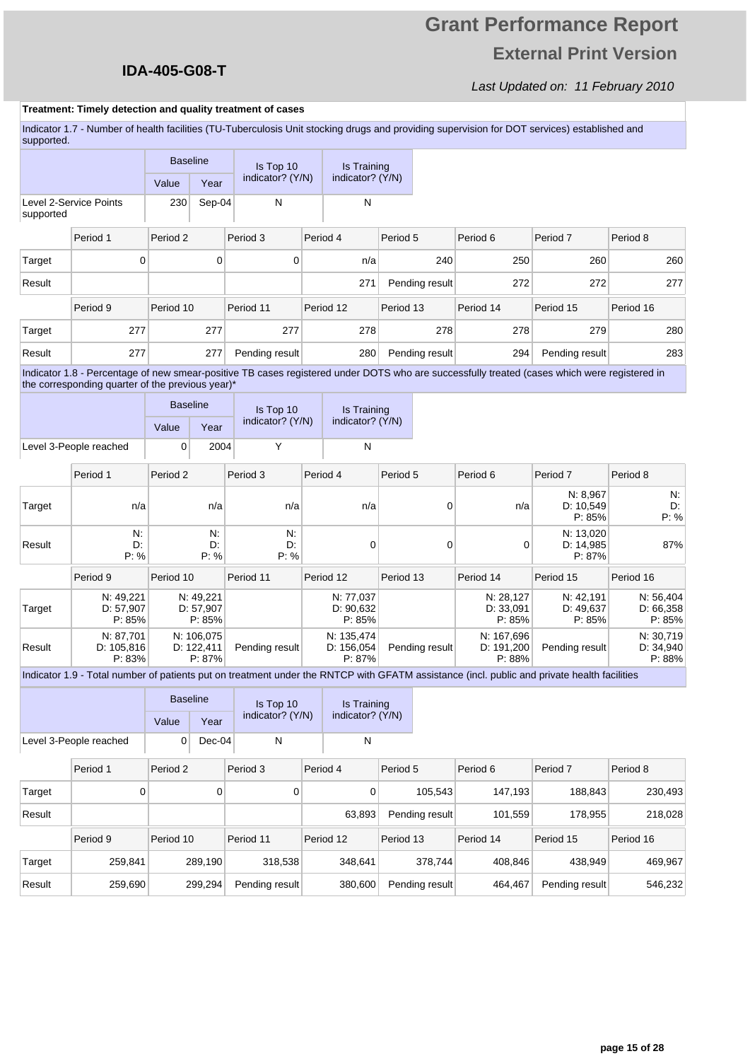# **Grant Performance Report External Print Version**

Last Updated on: 11 February 2010

#### **Treatment: Timely detection and quality treatment of cases**

Indicator 1.7 - Number of health facilities (TU-Tuberculosis Unit stocking drugs and providing supervision for DOT services) established and supported.

|                                |                                                                                                                                           | <b>Baseline</b> |                |                  | Is Top 10 |           | Is Training      |                |           |                |           |  |
|--------------------------------|-------------------------------------------------------------------------------------------------------------------------------------------|-----------------|----------------|------------------|-----------|-----------|------------------|----------------|-----------|----------------|-----------|--|
|                                |                                                                                                                                           | Value           | Year           | indicator? (Y/N) |           |           | indicator? (Y/N) |                |           |                |           |  |
| supported                      | Level 2-Service Points                                                                                                                    | 230             | Sep-04         |                  | N         |           | N                |                |           |                |           |  |
|                                | Period 1                                                                                                                                  | Period 2        |                | Period 3         |           | Period 4  |                  | Period 5       | Period 6  | Period 7       | Period 8  |  |
| Target                         | 0                                                                                                                                         |                 | $\overline{0}$ |                  | 0         |           | n/a              | 240            | 250       | 260            | 260       |  |
| Result                         |                                                                                                                                           |                 |                |                  |           |           | 271              | Pending result | 272       | 272            | 277       |  |
|                                | Period 9                                                                                                                                  | Period 10       |                | Period 11        |           | Period 12 |                  | Period 13      | Period 14 | Period 15      | Period 16 |  |
| Target                         | 277                                                                                                                                       |                 | 277            |                  | 277       |           | 278              | 278            | 278       | 279            | 280       |  |
| Result                         | 277                                                                                                                                       |                 | 277            | Pending result   |           |           | 280              | Pending result | 294       | Pending result | 283       |  |
| $l$ adiaatas<br>$\overline{A}$ | Description of now among positive TD coase registered under DOTC who are quescoafully tracted (eages which were registered in<br>$\Omega$ |                 |                |                  |           |           |                  |                |           |                |           |  |

Indicator 1.8 - Percentage of new smear-positive TB cases registered under DOTS who are successfully treated (cases which were registered in the corresponding quarter of the previous year)\*

|                        | <b>Baseline</b> |      | Is Top 10        | Is Training<br>indicator? (Y/N) |  |
|------------------------|-----------------|------|------------------|---------------------------------|--|
|                        | Value           | Year | indicator? (Y/N) |                                 |  |
| Level 3-People reached |                 | 2004 |                  | N                               |  |

|        | Period 1                          | Period 2                            | Period 3         | Period 4                           | Period 5       | Period 6                           | Period 7                         | Period 8                         |
|--------|-----------------------------------|-------------------------------------|------------------|------------------------------------|----------------|------------------------------------|----------------------------------|----------------------------------|
| Target | n/a                               | n/a                                 | n/a              | n/a                                | $\overline{0}$ | n/a                                | N: 8,967<br>D: 10.549<br>P: 85%  | N:<br>D:<br>P: %                 |
| Result | N:<br>D:<br>P: %                  | N:<br>D:<br>P: %                    | N:<br>D.<br>P: % | $\Omega$                           | $\overline{0}$ | $\Omega$                           | N: 13,020<br>D: 14.985<br>P: 87% | 87%                              |
|        | Period 9                          | Period 10                           | Period 11        | Period 12                          | Period 13      | Period 14                          | Period 15                        | Period 16                        |
| Target | N: 49,221<br>D: 57,907<br>P: 85%  | N: 49,221<br>D: 57,907<br>$P: 85\%$ |                  | N: 77,037<br>D: 90,632<br>P: 85%   |                | N: 28,127<br>D: 33.091<br>P: 85%   | N: 42,191<br>D: 49,637<br>P: 85% | N: 56,404<br>D: 66,358<br>P: 85% |
| Result | N: 87,701<br>D: 105,816<br>P: 83% | N: 106,075<br>D: 122,411<br>P: 87%  | Pending result   | N: 135,474<br>D: 156,054<br>P: 87% | Pending result | N: 167,696<br>D: 191,200<br>P: 88% | Pending result                   | N: 30,719<br>D: 34,940<br>P: 88% |

Indicator 1.9 - Total number of patients put on treatment under the RNTCP with GFATM assistance (incl. public and private health facilities

|                        |          | <b>Baseline</b> |          |                  | Is Top 10 |                  |   | Is Training |
|------------------------|----------|-----------------|----------|------------------|-----------|------------------|---|-------------|
|                        |          | Value<br>Year   |          | indicator? (Y/N) |           | indicator? (Y/N) |   |             |
| Level 3-People reached |          |                 | $Dec-04$ |                  |           |                  | N |             |
|                        | Period 1 | Period 2        |          |                  | Period 3  | Period 4         |   | Period      |
|                        |          |                 |          |                  |           |                  |   |             |

|        | Period 1 | Period 2  | Period 3       | Period 4  | Period 5       | Period 6  | Period 7       | Period 8  |
|--------|----------|-----------|----------------|-----------|----------------|-----------|----------------|-----------|
| Target |          | 0         | 0              | 0         | 105.543        | 147.193   | 188.843        | 230,493   |
| Result |          |           |                | 63.893    | Pending result | 101,559   | 178.955        | 218,028   |
|        | Period 9 | Period 10 | Period 11      | Period 12 | Period 13      | Period 14 | Period 15      | Period 16 |
| Target | 259.841  | 289.190   | 318.538        | 348.641   | 378.744        | 408.846   | 438.949        | 469,967   |
| Result | 259,690  | 299,294   | Pending result | 380,600   | Pending result | 464,467   | Pending result | 546,232   |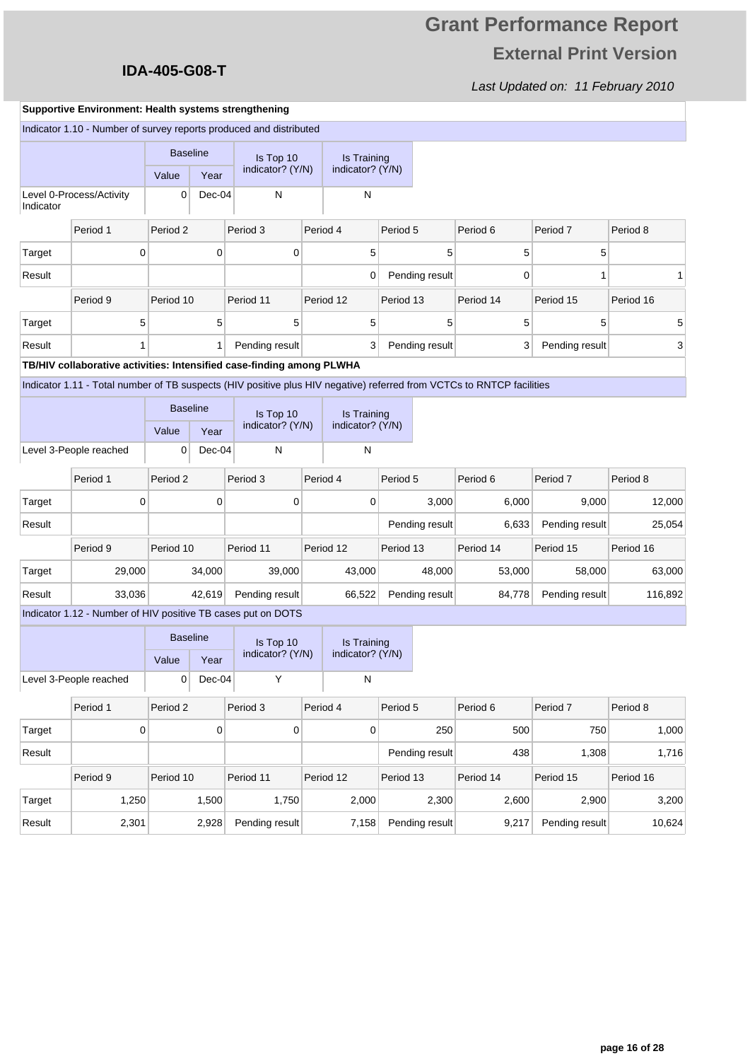# **Grant Performance Report External Print Version**

|  |  |  |  | Supportive Environment: Health systems strengthening |
|--|--|--|--|------------------------------------------------------|
|--|--|--|--|------------------------------------------------------|

|           | Indicator 1.10 - Number of survey reports produced and distributed                                                    |                 |             |                               |          |                                 |           |                |           |                     |           |
|-----------|-----------------------------------------------------------------------------------------------------------------------|-----------------|-------------|-------------------------------|----------|---------------------------------|-----------|----------------|-----------|---------------------|-----------|
|           |                                                                                                                       | <b>Baseline</b> |             | Is Top 10<br>indicator? (Y/N) |          | Is Training<br>indicator? (Y/N) |           |                |           |                     |           |
|           |                                                                                                                       | Value           | Year        |                               |          |                                 |           |                |           |                     |           |
| Indicator | Level 0-Process/Activity                                                                                              | 0               | Dec-04      | Ν                             |          | ${\sf N}$                       |           |                |           |                     |           |
|           | Period 1                                                                                                              | Period 2        |             | Period 3                      | Period 4 |                                 | Period 5  |                | Period 6  | Period <sub>7</sub> | Period 8  |
| Target    | $\mathbf 0$                                                                                                           |                 | 0           | 0                             |          | 5                               |           | 5              | 5         | 5                   |           |
| Result    |                                                                                                                       |                 |             |                               |          | 0                               |           | Pending result | 0         | 1                   | 1         |
|           | Period 9                                                                                                              | Period 10       |             | Period 11                     |          | Period 12                       | Period 13 |                | Period 14 | Period 15           | Period 16 |
| Target    | 5                                                                                                                     |                 | 5           | 5                             |          | 5                               |           | 5              | 5         | 5                   | 5         |
| Result    | 1                                                                                                                     |                 | 1           | Pending result                |          | 3                               |           | Pending result | 3         | Pending result      | 3         |
|           | TB/HIV collaborative activities: Intensified case-finding among PLWHA                                                 |                 |             |                               |          |                                 |           |                |           |                     |           |
|           | Indicator 1.11 - Total number of TB suspects (HIV positive plus HIV negative) referred from VCTCs to RNTCP facilities |                 |             |                               |          |                                 |           |                |           |                     |           |
|           |                                                                                                                       | <b>Baseline</b> |             | Is Top 10                     |          | Is Training                     |           |                |           |                     |           |
|           |                                                                                                                       | Value           | Year        | indicator? (Y/N)              |          | indicator? (Y/N)                |           |                |           |                     |           |
|           | Level 3-People reached                                                                                                | 0               | Dec-04      | N                             |          | ${\sf N}$                       |           |                |           |                     |           |
|           | Period 1                                                                                                              | Period 2        |             | Period 3                      | Period 4 |                                 | Period 5  |                | Period 6  | Period <sub>7</sub> | Period 8  |
| Target    | 0                                                                                                                     |                 | $\mathbf 0$ | 0                             |          | 0                               |           | 3,000          | 6,000     | 9,000               | 12,000    |
| Result    |                                                                                                                       |                 |             |                               |          |                                 |           | Pending result | 6,633     | Pending result      | 25,054    |
|           | Period 9                                                                                                              | Period 10       |             | Period 11                     |          | Period 12                       | Period 13 |                | Period 14 | Period 15           | Period 16 |
| Target    | 29,000                                                                                                                |                 | 34,000      | 39,000                        |          | 43,000                          |           | 48,000         | 53,000    | 58,000              | 63,000    |
| Result    | 33,036                                                                                                                |                 | 42,619      | Pending result                |          | 66,522                          |           | Pending result | 84,778    | Pending result      | 116,892   |
|           | Indicator 1.12 - Number of HIV positive TB cases put on DOTS                                                          |                 |             |                               |          |                                 |           |                |           |                     |           |
|           |                                                                                                                       | <b>Baseline</b> |             | Is Top 10                     |          | Is Training                     |           |                |           |                     |           |
|           |                                                                                                                       | Value           | Year        | indicator? (Y/N)              |          | indicator? (Y/N)                |           |                |           |                     |           |
|           | Level 3-People reached                                                                                                | 0               | Dec-04      | Υ                             |          | N                               |           |                |           |                     |           |
|           | Period 1                                                                                                              | Period 2        |             | Period 3                      | Period 4 |                                 | Period 5  |                | Period 6  | Period 7            | Period 8  |
| Target    | $\mathbf 0$                                                                                                           |                 | 0           | 0                             |          | 0                               |           | 250            | 500       | 750                 | 1,000     |
| Result    |                                                                                                                       |                 |             |                               |          |                                 |           | Pending result | 438       | 1,308               | 1,716     |
|           | Period 9                                                                                                              | Period 10       |             | Period 11                     |          | Period 12                       | Period 13 |                | Period 14 | Period 15           | Period 16 |
| Target    | 1,250                                                                                                                 |                 | 1,500       | 1,750                         |          | 2,000                           |           | 2,300          | 2,600     | 2,900               | 3,200     |
| Result    | 2,301                                                                                                                 |                 | 2,928       | Pending result                |          | 7,158                           |           | Pending result | 9,217     | Pending result      | 10,624    |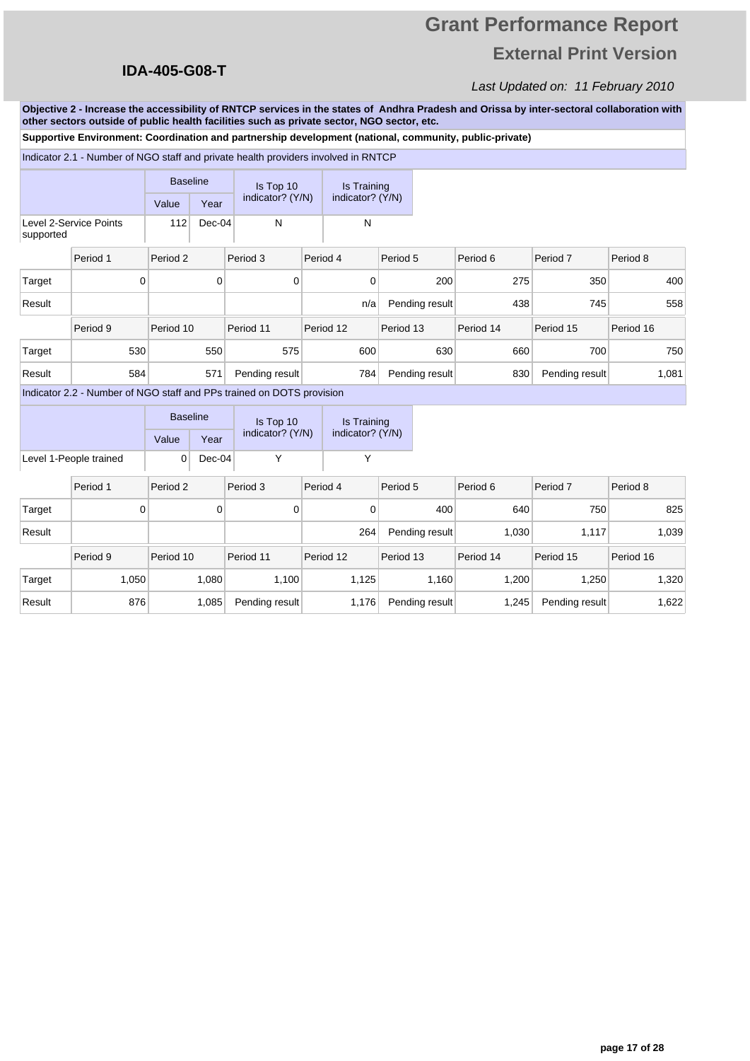### **IDA-405-G08-T**

#### Last Updated on: 11 February 2010

**Objective 2 - Increase the accessibility of RNTCP services in the states of Andhra Pradesh and Orissa by inter-sectoral collaboration with other sectors outside of public health facilities such as private sector, NGO sector, etc.**

**Supportive Environment: Coordination and partnership development (national, community, public-private)**

|                       | Indicator 2.1 - Number of NGO staff and private health providers involved in RNTCP |           |          |                  |     |           |                  |           |                |           |                |           |       |
|-----------------------|------------------------------------------------------------------------------------|-----------|----------|------------------|-----|-----------|------------------|-----------|----------------|-----------|----------------|-----------|-------|
|                       | <b>Baseline</b><br>Is Top 10                                                       |           |          | Is Training      |     |           |                  |           |                |           |                |           |       |
|                       |                                                                                    | Value     | Year     | indicator? (Y/N) |     |           | indicator? (Y/N) |           |                |           |                |           |       |
| supported             | Level 2-Service Points                                                             | 112       | $Dec-04$ | N                |     |           | N                |           |                |           |                |           |       |
|                       | Period 1                                                                           | Period 2  |          | Period 3         |     | Period 4  |                  | Period 5  |                | Period 6  | Period 7       | Period 8  |       |
| Target                | 0                                                                                  |           | 0        |                  | 0   |           | 0                |           | 200            | 275       | 350            |           | 400   |
| Result                |                                                                                    |           |          |                  |     |           | n/a              |           | Pending result | 438       | 745            |           | 558   |
|                       | Period 9                                                                           | Period 10 |          | Period 11        |     | Period 12 |                  | Period 13 |                | Period 14 | Period 15      | Period 16 |       |
| Target                | 530                                                                                |           | 550      |                  | 575 |           | 600              |           | 630            | 660       | 700            |           | 750   |
| Result                | 584                                                                                |           | 571      | Pending result   |     |           | 784              |           | Pending result | 830       | Pending result |           | 1,081 |
| $l$ adiaatar $\Omega$ | Number of NCO atoff and DDs trained an DOTC provision                              |           |          |                  |     |           |                  |           |                |           |                |           |       |

Indicator 2.2 - Number of NGO staff and PPs trained on DOTS provision

|                        | <b>Baseline</b> |          | Is Top 10        | Is Training      |
|------------------------|-----------------|----------|------------------|------------------|
|                        | Value           | Year     | indicator? (Y/N) | indicator? (Y/N) |
| Level 1-People trained |                 | $Dec-04$ |                  |                  |

|        | Period 1 | Period 2  | Period 3  | Period 4  | Period 5       | Period 6  | Period <sub>7</sub> | Period 8  |
|--------|----------|-----------|-----------|-----------|----------------|-----------|---------------------|-----------|
| Target |          | 0         | 0         | 0         | 400            | 640       | 750                 | 825       |
| Result |          |           |           | 264       | Pending result | 1.030     | 1.117               | 1,039     |
|        |          |           |           |           |                |           |                     |           |
|        | Period 9 | Period 10 | Period 11 | Period 12 | Period 13      | Period 14 | Period 15           | Period 16 |
| Target | 1.050    | 1.080     | 1.100     | 1,125     | 1.160          | 1.200     | 1,250               | 1,320     |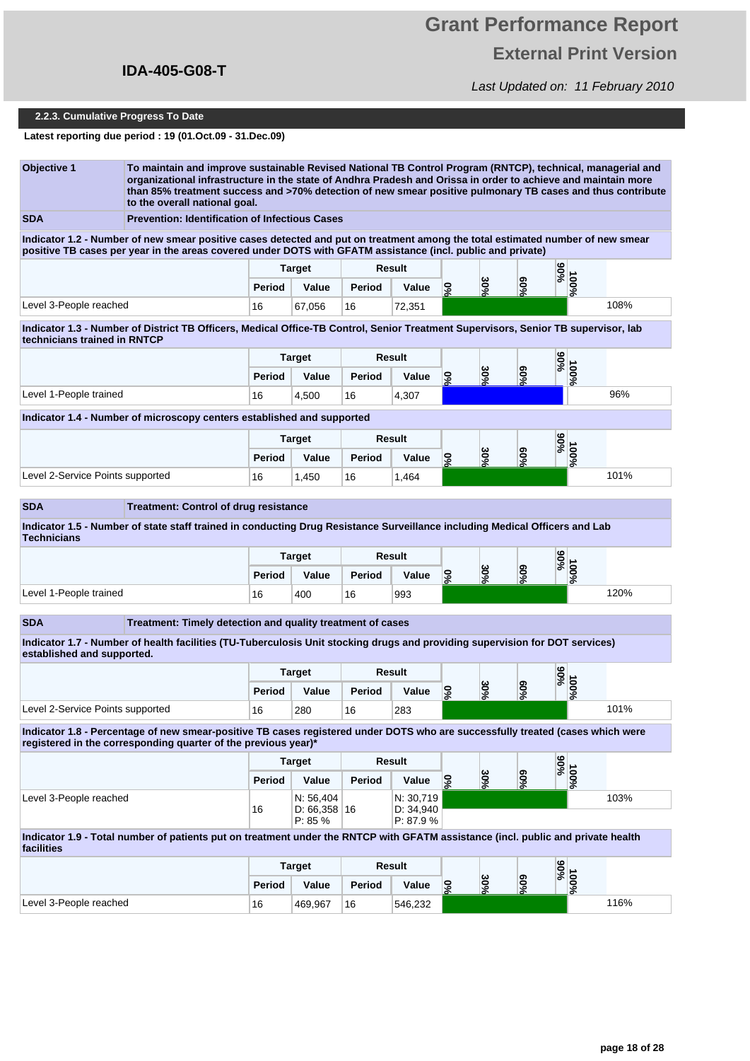# **Grant Performance Report External Print Version**

Last Updated on: 11 February 2010

#### **2.2.3. Cumulative Progress To Date**

**Latest reporting due period : 19 (01.Oct.09 - 31.Dec.09)**

| <b>Objective 1</b>                                                                                                                             | To maintain and improve sustainable Revised National TB Control Program (RNTCP), technical, managerial and<br>organizational infrastructure in the state of Andhra Pradesh and Orissa in order to achieve and maintain more<br>than 85% treatment success and >70% detection of new smear positive pulmonary TB cases and thus contribute<br>to the overall national goal. |        |                             |               |                                    |                             |     |        |      |         |      |
|------------------------------------------------------------------------------------------------------------------------------------------------|----------------------------------------------------------------------------------------------------------------------------------------------------------------------------------------------------------------------------------------------------------------------------------------------------------------------------------------------------------------------------|--------|-----------------------------|---------------|------------------------------------|-----------------------------|-----|--------|------|---------|------|
| <b>SDA</b>                                                                                                                                     | <b>Prevention: Identification of Infectious Cases</b>                                                                                                                                                                                                                                                                                                                      |        |                             |               |                                    |                             |     |        |      |         |      |
|                                                                                                                                                | Indicator 1.2 - Number of new smear positive cases detected and put on treatment among the total estimated number of new smear<br>positive TB cases per year in the areas covered under DOTS with GFATM assistance (incl. public and private)                                                                                                                              |        |                             |               |                                    |                             |     |        |      |         |      |
|                                                                                                                                                |                                                                                                                                                                                                                                                                                                                                                                            |        | <b>Target</b>               |               | Result                             |                             |     |        | %56  |         |      |
|                                                                                                                                                |                                                                                                                                                                                                                                                                                                                                                                            | Period | Value                       | Period        | Value                              | 0%                          | 30% | $60\%$ |      | 100%    |      |
| Level 3-People reached                                                                                                                         |                                                                                                                                                                                                                                                                                                                                                                            | 16     | 67,056                      | 16            | 72,351                             |                             |     |        |      |         | 108% |
| technicians trained in RNTCP                                                                                                                   | Indicator 1.3 - Number of District TB Officers, Medical Office-TB Control, Senior Treatment Supervisors, Senior TB supervisor, lab                                                                                                                                                                                                                                         |        |                             |               |                                    |                             |     |        |      |         |      |
|                                                                                                                                                |                                                                                                                                                                                                                                                                                                                                                                            |        | <b>Target</b>               |               | Result                             |                             |     |        | %56  |         |      |
|                                                                                                                                                |                                                                                                                                                                                                                                                                                                                                                                            | Period | Value                       | <b>Period</b> | Value                              | $\mathcal{S}^{\mathcal{S}}$ | 30% | $60\%$ |      | 100%    |      |
| Level 1-People trained                                                                                                                         |                                                                                                                                                                                                                                                                                                                                                                            | 16     | 4,500                       | 16            | 4,307                              |                             |     |        |      |         | 96%  |
|                                                                                                                                                | Indicator 1.4 - Number of microscopy centers established and supported                                                                                                                                                                                                                                                                                                     |        |                             |               |                                    |                             |     |        |      |         |      |
|                                                                                                                                                |                                                                                                                                                                                                                                                                                                                                                                            |        | <b>Target</b>               |               | Result                             |                             |     |        |      |         |      |
|                                                                                                                                                |                                                                                                                                                                                                                                                                                                                                                                            | Period | Value                       | Period        | Value                              | $\mathcal{S}$               | 30% | $60\%$ | %06  | 100%    |      |
| Level 2-Service Points supported                                                                                                               |                                                                                                                                                                                                                                                                                                                                                                            | 16     | 1,450                       | 16            | 1,464                              |                             |     |        |      |         | 101% |
|                                                                                                                                                | Indicator 1.5 - Number of state staff trained in conducting Drug Resistance Surveillance including Medical Officers and Lab                                                                                                                                                                                                                                                |        |                             |               |                                    |                             |     |        |      |         |      |
| <b>Technicians</b>                                                                                                                             |                                                                                                                                                                                                                                                                                                                                                                            |        | <b>Target</b>               |               | Result                             |                             |     |        |      |         |      |
|                                                                                                                                                |                                                                                                                                                                                                                                                                                                                                                                            | Period | Value                       | Period        | Value                              | $\mathcal{S}_6$             |     |        | %56  |         |      |
|                                                                                                                                                |                                                                                                                                                                                                                                                                                                                                                                            | 16     | 400                         | 16            | 993                                |                             | 30% | $60\%$ |      | 100%    | 120% |
|                                                                                                                                                |                                                                                                                                                                                                                                                                                                                                                                            |        |                             |               |                                    |                             |     |        |      |         |      |
|                                                                                                                                                | Treatment: Timely detection and quality treatment of cases<br>Indicator 1.7 - Number of health facilities (TU-Tuberculosis Unit stocking drugs and providing supervision for DOT services)                                                                                                                                                                                 |        |                             |               |                                    |                             |     |        |      |         |      |
|                                                                                                                                                |                                                                                                                                                                                                                                                                                                                                                                            |        |                             |               | Result                             |                             |     |        |      |         |      |
|                                                                                                                                                |                                                                                                                                                                                                                                                                                                                                                                            | Period | Target<br>Value             | Period        | Value                              |                             |     |        | %06  |         |      |
|                                                                                                                                                |                                                                                                                                                                                                                                                                                                                                                                            | 16     | 280                         | 16            | 283                                | <b>9%</b>                   | 30% | $60\%$ |      | 100%    | 101% |
|                                                                                                                                                | Indicator 1.8 - Percentage of new smear-positive TB cases registered under DOTS who are successfully treated (cases which were<br>registered in the corresponding quarter of the previous year) <sup>*</sup>                                                                                                                                                               |        |                             |               |                                    |                             |     |        |      |         |      |
|                                                                                                                                                |                                                                                                                                                                                                                                                                                                                                                                            |        | <b>Target</b>               |               | Result                             |                             |     |        |      |         |      |
|                                                                                                                                                |                                                                                                                                                                                                                                                                                                                                                                            | Period | Value                       | Period        | Value                              |                             |     |        | %56  |         |      |
|                                                                                                                                                |                                                                                                                                                                                                                                                                                                                                                                            | 16     | N: 56,404<br>D: 66,358   16 |               | N: 30,719<br>D: 34,940<br>P: 87.9% | 6%                          | 30% | $60\%$ |      | $100\%$ | 103% |
|                                                                                                                                                | Indicator 1.9 - Total number of patients put on treatment under the RNTCP with GFATM assistance (incl. public and private health                                                                                                                                                                                                                                           |        | P: 85 %                     |               |                                    |                             |     |        |      |         |      |
|                                                                                                                                                |                                                                                                                                                                                                                                                                                                                                                                            |        | <b>Target</b>               |               | Result                             |                             |     |        |      |         |      |
| Level 1-People trained<br><b>SDA</b><br>established and supported.<br>Level 2-Service Points supported<br>Level 3-People reached<br>facilities |                                                                                                                                                                                                                                                                                                                                                                            | Period | Value                       | Period        | Value                              | $\mathcal{S}_6$             | 30% | $60\%$ | %50% | 100%    |      |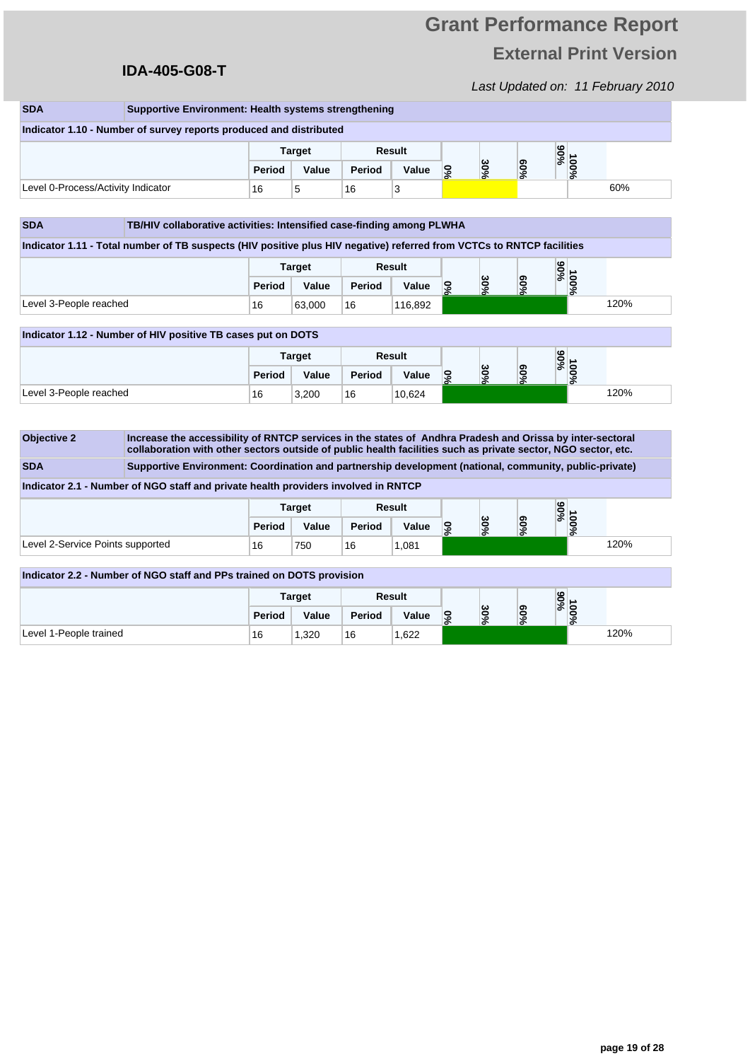### **IDA-405-G08-T**

| <b>SDA</b>                         |                                                                                                                       | Supportive Environment: Health systems strengthening |               |               |         |           |     |        |         |      |
|------------------------------------|-----------------------------------------------------------------------------------------------------------------------|------------------------------------------------------|---------------|---------------|---------|-----------|-----|--------|---------|------|
|                                    | Indicator 1.10 - Number of survey reports produced and distributed                                                    |                                                      |               |               |         |           |     |        |         |      |
|                                    |                                                                                                                       |                                                      | <b>Target</b> |               | Result  |           |     |        | %06     |      |
|                                    |                                                                                                                       | Period                                               | Value         | <b>Period</b> | Value   | %         | 30% | $60\%$ | 100%    |      |
| Level 0-Process/Activity Indicator |                                                                                                                       | 16                                                   | 5             | 16            | 3       |           |     |        |         | 60%  |
|                                    |                                                                                                                       |                                                      |               |               |         |           |     |        |         |      |
| <b>SDA</b>                         | TB/HIV collaborative activities: Intensified case-finding among PLWHA                                                 |                                                      |               |               |         |           |     |        |         |      |
|                                    | Indicator 1.11 - Total number of TB suspects (HIV positive plus HIV negative) referred from VCTCs to RNTCP facilities |                                                      |               |               |         |           |     |        |         |      |
|                                    |                                                                                                                       |                                                      | <b>Target</b> |               | Result  |           |     |        | %56     |      |
|                                    |                                                                                                                       | Period                                               | Value         | <b>Period</b> | Value   | %         | 30% | $60\%$ | 100%    |      |
| Level 3-People reached             |                                                                                                                       | 16                                                   | 63,000        | 16            | 116,892 |           |     |        |         | 120% |
|                                    |                                                                                                                       |                                                      |               |               |         |           |     |        |         |      |
|                                    | Indicator 1.12 - Number of HIV positive TB cases put on DOTS                                                          |                                                      |               |               |         |           |     |        |         |      |
|                                    |                                                                                                                       |                                                      | <b>Target</b> |               | Result  |           |     |        | %06     |      |
|                                    |                                                                                                                       | Period                                               | Value         | Period        | Value   | <b>9%</b> | 30% | $60\%$ | $-0006$ |      |
| Level 3-People reached             |                                                                                                                       | 16                                                   | 3,200         | 16            | 10.624  |           |     |        |         | 120% |
|                                    |                                                                                                                       |                                                      |               |               |         |           |     |        |         |      |
| <b>Objective 2</b>                 | Increase the accessibility of RNTCP services in the states of Andhra Pradesh and Orissa by inter-sectoral             |                                                      |               |               |         |           |     |        |         |      |
|                                    | collaboration with other sectors outside of public health facilities such as private sector, NGO sector, etc.         |                                                      |               |               |         |           |     |        |         |      |
| <b>SDA</b>                         | Supportive Environment: Coordination and partnership development (national, community, public-private)                |                                                      |               |               |         |           |     |        |         |      |
|                                    | Indicator 2.1 - Number of NGO staff and private health providers involved in RNTCP                                    |                                                      |               |               |         |           |     |        |         |      |
|                                    |                                                                                                                       |                                                      | <b>Target</b> |               | Result  |           |     |        | %56     |      |
|                                    |                                                                                                                       | Period                                               | Value         | Period        | Value   | %         | 30% | $60\%$ | 100%    |      |
| Level 2-Service Points supported   |                                                                                                                       | 16                                                   | 750           | 16            | 1.081   |           |     |        |         | 120% |
|                                    |                                                                                                                       |                                                      |               |               |         |           |     |        |         |      |
|                                    | Indicator 2.2 - Number of NGO staff and PPs trained on DOTS provision                                                 |                                                      |               |               |         |           |     |        |         |      |
|                                    |                                                                                                                       |                                                      | <b>Target</b> |               | Result  |           |     |        | %06     |      |
|                                    |                                                                                                                       | Period                                               | Value         | Period        | Value   | %         | 30% | $60\%$ | 100%    |      |
| Level 1-People trained             |                                                                                                                       | 16                                                   | 1,320         | 16            | 1,622   |           |     |        |         | 120% |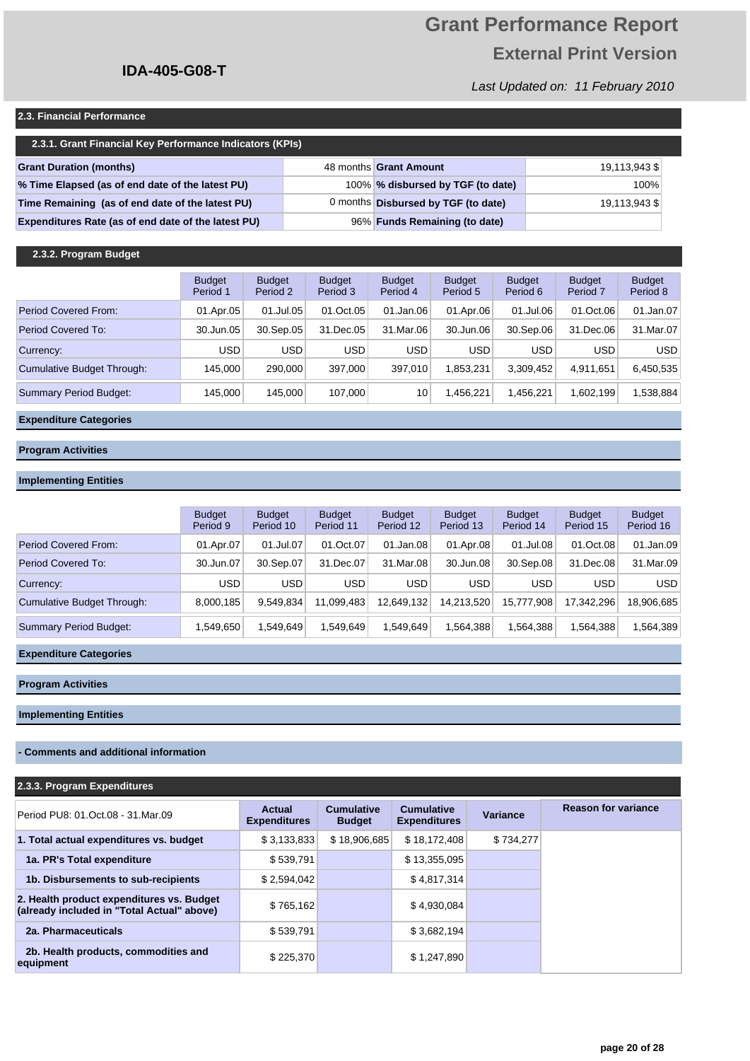# **Grant Performance Report External Print Version**

Last Updated on: 11 February 2010

#### **2.3. Financial Performance**

| 2.3.1. Grant Financial Key Performance Indicators (KPIs) |  |                                            |               |  |  |  |
|----------------------------------------------------------|--|--------------------------------------------|---------------|--|--|--|
| <b>Grant Duration (months)</b>                           |  | 48 months Grant Amount                     | 19,113,943 \$ |  |  |  |
| % Time Elapsed (as of end date of the latest PU)         |  | 100% % disbursed by TGF (to date)          | 100%          |  |  |  |
| Time Remaining (as of end date of the latest PU)         |  | 0 months <b>Disbursed by TGF (to date)</b> | 19,113,943 \$ |  |  |  |
| Expenditures Rate (as of end date of the latest PU)      |  | 96% Funds Remaining (to date)              |               |  |  |  |

#### **2.3.2. Program Budget**

|                            | <b>Budget</b><br>Period 1 | <b>Budget</b><br>Period 2 | <b>Budget</b><br>Period 3 | <b>Budget</b><br>Period 4 | <b>Budget</b><br>Period 5 | <b>Budget</b><br>Period 6 | <b>Budget</b><br>Period <sub>7</sub> | <b>Budget</b><br>Period 8 |
|----------------------------|---------------------------|---------------------------|---------------------------|---------------------------|---------------------------|---------------------------|--------------------------------------|---------------------------|
| Period Covered From:       | 01.Apr.05                 | 01.Jul.05                 | 01.Oct.05                 | 01.Jan.06                 | 01.Apr.06                 | 01.Jul.06                 | 01.Oct.06                            | 01.Jan.07                 |
| Period Covered To:         | 30.Jun.05                 | 30.Sep.05                 | 31.Dec.05                 | 31.Mar.06                 | 30.Jun.06                 | 30.Sep.06                 | 31.Dec.06                            | 31.Mar.07                 |
| Currency:                  | USD                       | <b>USD</b>                | <b>USD</b>                | <b>USD</b>                | <b>USD</b>                | <b>USD</b>                | <b>USD</b>                           | USD                       |
| Cumulative Budget Through: | 145,000                   | 290,000                   | 397.000                   | 397.010                   | 1.853.231                 | 3.309.452                 | 4.911.651                            | 6,450,535                 |
| Summary Period Budget:     | 145,000                   | 145.000                   | 107.000                   | 10                        | .456,221                  | .456.221                  | .602.199                             | .538,884                  |

#### **Expenditure Categories**

#### **Program Activities**

#### **Implementing Entities**

|                               | <b>Budget</b><br>Period 9 | <b>Budget</b><br>Period 10 | <b>Budget</b><br>Period 11 | <b>Budget</b><br>Period 12 | <b>Budget</b><br>Period 13 | <b>Budget</b><br>Period 14 | <b>Budget</b><br>Period 15 | <b>Budget</b><br>Period 16 |
|-------------------------------|---------------------------|----------------------------|----------------------------|----------------------------|----------------------------|----------------------------|----------------------------|----------------------------|
| Period Covered From:          | 01.Apr.07                 | 01.Jul.07                  | 01.Oct.07                  | 01.Jan.08                  | 01.Apr.08                  | 01.Jul.08                  | 01.0ct.08                  | 01.Jan.09                  |
| Period Covered To:            | 30.Jun.07                 | 30.Sep.07                  | 31.Dec.07                  | 31.Mar.08                  | 30.Jun.08                  | 30.Sep.08                  | 31.Dec.08                  | 31.Mar.09                  |
| Currency:                     | <b>USD</b>                | <b>USD</b>                 | <b>USD</b>                 | <b>USD</b>                 | <b>USD</b>                 | <b>USD</b>                 | <b>USD</b>                 | <b>USD</b>                 |
| Cumulative Budget Through:    | 8,000,185                 | 9.549.834                  | 11,099,483                 | 12,649,132                 | 14,213,520                 | 15.777.908                 | 17.342.296                 | 18,906,685                 |
| <b>Summary Period Budget:</b> | ا 549,650. ا              | 1.549.649                  | I.549.649                  | 1.549.649                  | 1.564.388                  | 1.564.388                  | 1.564.388                  | .564,389                   |

#### **Expenditure Categories**

#### **Program Activities**

**Implementing Entities**

#### **- Comments and additional information**

#### **2.3.3. Program Expenditures**

| Period PU8: 01. Oct. 08 - 31. Mar. 09                                                   | Actual<br><b>Expenditures</b> | <b>Cumulative</b><br><b>Budget</b> | <b>Cumulative</b><br><b>Expenditures</b> | Variance  | <b>Reason for variance</b> |
|-----------------------------------------------------------------------------------------|-------------------------------|------------------------------------|------------------------------------------|-----------|----------------------------|
| 1. Total actual expenditures vs. budget                                                 | \$3,133,833                   | \$18,906,685                       | \$18,172,408                             | \$734,277 |                            |
| 1a. PR's Total expenditure                                                              | \$539.791                     |                                    | \$13,355,095                             |           |                            |
| 1b. Disbursements to sub-recipients                                                     | \$2,594,042                   |                                    | \$4,817,314                              |           |                            |
| 2. Health product expenditures vs. Budget<br>(already included in "Total Actual" above) | \$765.162                     |                                    | \$4.930.084                              |           |                            |
| 2a. Pharmaceuticals                                                                     | \$539.791                     |                                    | \$3.682.194                              |           |                            |
| 2b. Health products, commodities and<br>equipment                                       | \$225.370                     |                                    | \$1,247,890                              |           |                            |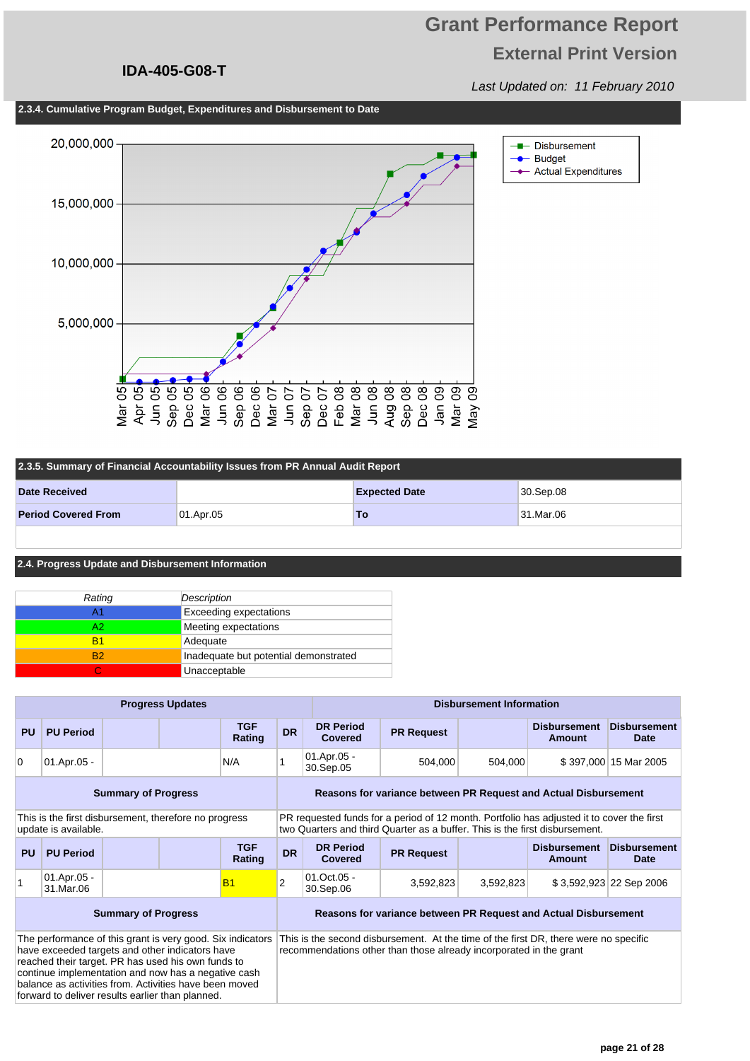Last Updated on: 11 February 2010

### **IDA-405-G08-T**





| 2.3.5. Summary of Financial Accountability Issues from PR Annual Audit Report |           |                      |           |  |  |
|-------------------------------------------------------------------------------|-----------|----------------------|-----------|--|--|
| <b>Date Received</b>                                                          |           | <b>Expected Date</b> | 30.Sep.08 |  |  |
| <b>Period Covered From</b>                                                    | 01.Apr.05 | To                   | 31.Mar.06 |  |  |
|                                                                               |           |                      |           |  |  |

**2.4. Progress Update and Disbursement Information**

| Rating | Description                           |
|--------|---------------------------------------|
| А1     | <b>Exceeding expectations</b>         |
| A2     | Meeting expectations                  |
| B1     | Adequate                              |
| B2     | Inadequate but potential demonstrated |
|        | Unacceptable                          |

| <b>Progress Updates</b>                                                                                                                                                                                                                                                                                                                  |                          |  |  |                      |                                                                        | <b>Disbursement Information</b>                                                                                                                                          |                   |                                                                                      |                               |                             |  |
|------------------------------------------------------------------------------------------------------------------------------------------------------------------------------------------------------------------------------------------------------------------------------------------------------------------------------------------|--------------------------|--|--|----------------------|------------------------------------------------------------------------|--------------------------------------------------------------------------------------------------------------------------------------------------------------------------|-------------------|--------------------------------------------------------------------------------------|-------------------------------|-----------------------------|--|
| <b>PU</b>                                                                                                                                                                                                                                                                                                                                | <b>PU Period</b>         |  |  | <b>TGF</b><br>Rating | <b>DR</b>                                                              | <b>DR Period</b><br>Covered                                                                                                                                              | <b>PR Request</b> |                                                                                      | <b>Disbursement</b><br>Amount | <b>Disbursement</b><br>Date |  |
| $\overline{0}$                                                                                                                                                                                                                                                                                                                           | 01.Apr.05 -              |  |  | N/A                  |                                                                        | 01.Apr.05 -<br>30.Sep.05                                                                                                                                                 | 504,000           | 504,000                                                                              |                               | \$397,000 15 Mar 2005       |  |
| <b>Summary of Progress</b>                                                                                                                                                                                                                                                                                                               |                          |  |  |                      |                                                                        | <b>Reasons for variance between PR Request and Actual Disbursement</b>                                                                                                   |                   |                                                                                      |                               |                             |  |
| This is the first disbursement, therefore no progress<br>update is available.                                                                                                                                                                                                                                                            |                          |  |  |                      |                                                                        | PR requested funds for a period of 12 month. Portfolio has adjusted it to cover the first<br>two Quarters and third Quarter as a buffer. This is the first disbursement. |                   |                                                                                      |                               |                             |  |
| <b>PU</b>                                                                                                                                                                                                                                                                                                                                | <b>PU Period</b>         |  |  | <b>TGF</b><br>Rating | <b>DR</b>                                                              | <b>DR Period</b><br>Covered                                                                                                                                              | <b>PR Request</b> |                                                                                      | <b>Disbursement</b><br>Amount | <b>Disbursement</b><br>Date |  |
| 1                                                                                                                                                                                                                                                                                                                                        | 01.Apr.05 -<br>31.Mar.06 |  |  | <b>B1</b>            | 2                                                                      | 01.Oct.05 -<br>30.Sep.06                                                                                                                                                 | 3,592,823         | 3,592,823                                                                            |                               | \$3,592,923 22 Sep 2006     |  |
| <b>Summary of Progress</b>                                                                                                                                                                                                                                                                                                               |                          |  |  |                      | <b>Reasons for variance between PR Request and Actual Disbursement</b> |                                                                                                                                                                          |                   |                                                                                      |                               |                             |  |
| The performance of this grant is very good. Six indicators<br>have exceeded targets and other indicators have<br>reached their target. PR has used his own funds to<br>continue implementation and now has a negative cash<br>balance as activities from. Activities have been moved<br>forward to deliver results earlier than planned. |                          |  |  |                      | recommendations other than those already incorporated in the grant     |                                                                                                                                                                          |                   | This is the second disbursement. At the time of the first DR, there were no specific |                               |                             |  |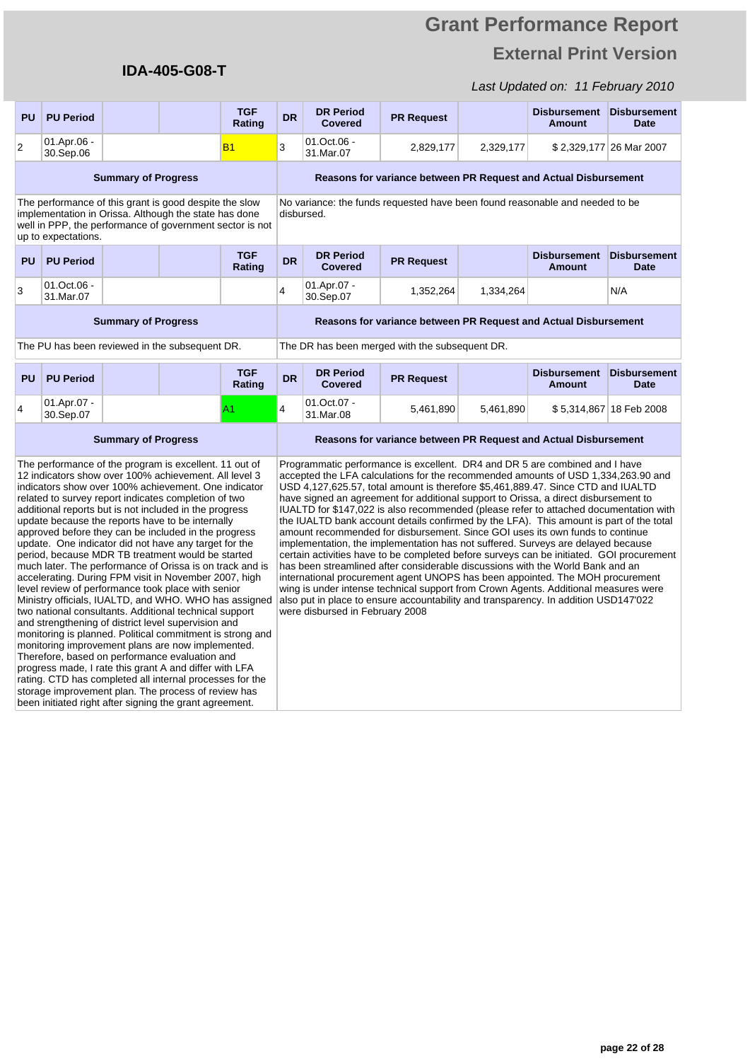## **IDA-405-G08-T**

| <b>PU</b>                                                                                                                                                                                                                                                                                                                                                                                                                                                                                                                                                                                                                                                                                                                                                                                                                                                                                                                                                                                                                                                                                                                                                                                                                                                                            | <b>PU Period</b>         |                            |  | <b>TGF</b><br>Rating | <b>DR</b>                                                              | <b>DR Period</b><br><b>Covered</b>                              | <b>PR Request</b> |                                                                              | <b>Disbursement</b><br><b>Amount</b>                                                                                                                                                                                                                                                                                                                                                                                                                                                                                                                                                                                                                                                                                                                                                                                                                                                                                                                                                                                                                                                                                                              | <b>Disbursement</b><br><b>Date</b> |  |  |
|--------------------------------------------------------------------------------------------------------------------------------------------------------------------------------------------------------------------------------------------------------------------------------------------------------------------------------------------------------------------------------------------------------------------------------------------------------------------------------------------------------------------------------------------------------------------------------------------------------------------------------------------------------------------------------------------------------------------------------------------------------------------------------------------------------------------------------------------------------------------------------------------------------------------------------------------------------------------------------------------------------------------------------------------------------------------------------------------------------------------------------------------------------------------------------------------------------------------------------------------------------------------------------------|--------------------------|----------------------------|--|----------------------|------------------------------------------------------------------------|-----------------------------------------------------------------|-------------------|------------------------------------------------------------------------------|---------------------------------------------------------------------------------------------------------------------------------------------------------------------------------------------------------------------------------------------------------------------------------------------------------------------------------------------------------------------------------------------------------------------------------------------------------------------------------------------------------------------------------------------------------------------------------------------------------------------------------------------------------------------------------------------------------------------------------------------------------------------------------------------------------------------------------------------------------------------------------------------------------------------------------------------------------------------------------------------------------------------------------------------------------------------------------------------------------------------------------------------------|------------------------------------|--|--|
| 2                                                                                                                                                                                                                                                                                                                                                                                                                                                                                                                                                                                                                                                                                                                                                                                                                                                                                                                                                                                                                                                                                                                                                                                                                                                                                    | 01.Apr.06 -<br>30.Sep.06 |                            |  | <b>B1</b>            | 3                                                                      | 01.Oct.06 -<br>31.Mar.07                                        | 2,829,177         | 2,329,177                                                                    |                                                                                                                                                                                                                                                                                                                                                                                                                                                                                                                                                                                                                                                                                                                                                                                                                                                                                                                                                                                                                                                                                                                                                   | \$2,329,177 26 Mar 2007            |  |  |
|                                                                                                                                                                                                                                                                                                                                                                                                                                                                                                                                                                                                                                                                                                                                                                                                                                                                                                                                                                                                                                                                                                                                                                                                                                                                                      |                          | <b>Summary of Progress</b> |  |                      |                                                                        |                                                                 |                   |                                                                              | Reasons for variance between PR Request and Actual Disbursement                                                                                                                                                                                                                                                                                                                                                                                                                                                                                                                                                                                                                                                                                                                                                                                                                                                                                                                                                                                                                                                                                   |                                    |  |  |
| The performance of this grant is good despite the slow<br>implementation in Orissa. Although the state has done<br>well in PPP, the performance of government sector is not<br>up to expectations.                                                                                                                                                                                                                                                                                                                                                                                                                                                                                                                                                                                                                                                                                                                                                                                                                                                                                                                                                                                                                                                                                   |                          |                            |  |                      | disbursed.                                                             |                                                                 |                   | No variance: the funds requested have been found reasonable and needed to be |                                                                                                                                                                                                                                                                                                                                                                                                                                                                                                                                                                                                                                                                                                                                                                                                                                                                                                                                                                                                                                                                                                                                                   |                                    |  |  |
| <b>PU</b>                                                                                                                                                                                                                                                                                                                                                                                                                                                                                                                                                                                                                                                                                                                                                                                                                                                                                                                                                                                                                                                                                                                                                                                                                                                                            | <b>PU Period</b>         |                            |  | <b>TGF</b><br>Rating | <b>DR</b>                                                              | <b>DR Period</b><br><b>Covered</b>                              | <b>PR Request</b> |                                                                              | <b>Disbursement</b><br><b>Amount</b>                                                                                                                                                                                                                                                                                                                                                                                                                                                                                                                                                                                                                                                                                                                                                                                                                                                                                                                                                                                                                                                                                                              | <b>Disbursement</b><br><b>Date</b> |  |  |
| 3                                                                                                                                                                                                                                                                                                                                                                                                                                                                                                                                                                                                                                                                                                                                                                                                                                                                                                                                                                                                                                                                                                                                                                                                                                                                                    | 01.Oct.06 -<br>31.Mar.07 |                            |  |                      | 4                                                                      | 01.Apr.07 -<br>30.Sep.07                                        | 1,352,264         | 1,334,264                                                                    |                                                                                                                                                                                                                                                                                                                                                                                                                                                                                                                                                                                                                                                                                                                                                                                                                                                                                                                                                                                                                                                                                                                                                   | N/A                                |  |  |
| <b>Summary of Progress</b>                                                                                                                                                                                                                                                                                                                                                                                                                                                                                                                                                                                                                                                                                                                                                                                                                                                                                                                                                                                                                                                                                                                                                                                                                                                           |                          |                            |  |                      |                                                                        | Reasons for variance between PR Request and Actual Disbursement |                   |                                                                              |                                                                                                                                                                                                                                                                                                                                                                                                                                                                                                                                                                                                                                                                                                                                                                                                                                                                                                                                                                                                                                                                                                                                                   |                                    |  |  |
| The PU has been reviewed in the subsequent DR.                                                                                                                                                                                                                                                                                                                                                                                                                                                                                                                                                                                                                                                                                                                                                                                                                                                                                                                                                                                                                                                                                                                                                                                                                                       |                          |                            |  |                      |                                                                        | The DR has been merged with the subsequent DR.                  |                   |                                                                              |                                                                                                                                                                                                                                                                                                                                                                                                                                                                                                                                                                                                                                                                                                                                                                                                                                                                                                                                                                                                                                                                                                                                                   |                                    |  |  |
| <b>PU</b>                                                                                                                                                                                                                                                                                                                                                                                                                                                                                                                                                                                                                                                                                                                                                                                                                                                                                                                                                                                                                                                                                                                                                                                                                                                                            | <b>PU Period</b>         |                            |  | <b>TGF</b><br>Rating | <b>DR</b>                                                              | <b>DR Period</b><br><b>Covered</b>                              | <b>PR Request</b> |                                                                              | <b>Disbursement</b><br><b>Amount</b>                                                                                                                                                                                                                                                                                                                                                                                                                                                                                                                                                                                                                                                                                                                                                                                                                                                                                                                                                                                                                                                                                                              | <b>Disbursement</b><br><b>Date</b> |  |  |
| 4                                                                                                                                                                                                                                                                                                                                                                                                                                                                                                                                                                                                                                                                                                                                                                                                                                                                                                                                                                                                                                                                                                                                                                                                                                                                                    | 01.Apr.07 -<br>30.Sep.07 |                            |  | A1                   | 4                                                                      | 01.Oct.07 -<br>31.Mar.08                                        | 5,461,890         | 5,461,890                                                                    |                                                                                                                                                                                                                                                                                                                                                                                                                                                                                                                                                                                                                                                                                                                                                                                                                                                                                                                                                                                                                                                                                                                                                   | \$5,314,867 18 Feb 2008            |  |  |
|                                                                                                                                                                                                                                                                                                                                                                                                                                                                                                                                                                                                                                                                                                                                                                                                                                                                                                                                                                                                                                                                                                                                                                                                                                                                                      |                          | <b>Summary of Progress</b> |  |                      | <b>Reasons for variance between PR Request and Actual Disbursement</b> |                                                                 |                   |                                                                              |                                                                                                                                                                                                                                                                                                                                                                                                                                                                                                                                                                                                                                                                                                                                                                                                                                                                                                                                                                                                                                                                                                                                                   |                                    |  |  |
| The performance of the program is excellent. 11 out of<br>12 indicators show over 100% achievement. All level 3<br>indicators show over 100% achievement. One indicator<br>related to survey report indicates completion of two<br>additional reports but is not included in the progress<br>update because the reports have to be internally<br>approved before they can be included in the progress<br>update. One indicator did not have any target for the<br>period, because MDR TB treatment would be started<br>much later. The performance of Orissa is on track and is<br>accelerating. During FPM visit in November 2007, high<br>level review of performance took place with senior<br>Ministry officials, IUALTD, and WHO. WHO has assigned<br>two national consultants. Additional technical support<br>and strengthening of district level supervision and<br>monitoring is planned. Political commitment is strong and<br>monitoring improvement plans are now implemented.<br>Therefore, based on performance evaluation and<br>progress made, I rate this grant A and differ with LFA<br>rating. CTD has completed all internal processes for the<br>storage improvement plan. The process of review has<br>been initiated right after signing the grant agreement. |                          |                            |  |                      |                                                                        | were disbursed in February 2008                                 |                   |                                                                              | Programmatic performance is excellent. DR4 and DR 5 are combined and I have<br>accepted the LFA calculations for the recommended amounts of USD 1,334,263.90 and<br>USD 4,127,625.57, total amount is therefore \$5,461,889.47. Since CTD and IUALTD<br>have signed an agreement for additional support to Orissa, a direct disbursement to<br>IUALTD for \$147,022 is also recommended (please refer to attached documentation with<br>the IUALTD bank account details confirmed by the LFA). This amount is part of the total<br>amount recommended for disbursement. Since GOI uses its own funds to continue<br>implementation, the implementation has not suffered. Surveys are delayed because<br>certain activities have to be completed before surveys can be initiated. GOI procurement<br>has been streamlined after considerable discussions with the World Bank and an<br>international procurement agent UNOPS has been appointed. The MOH procurement<br>wing is under intense technical support from Crown Agents. Additional measures were<br>also put in place to ensure accountability and transparency. In addition USD147'022 |                                    |  |  |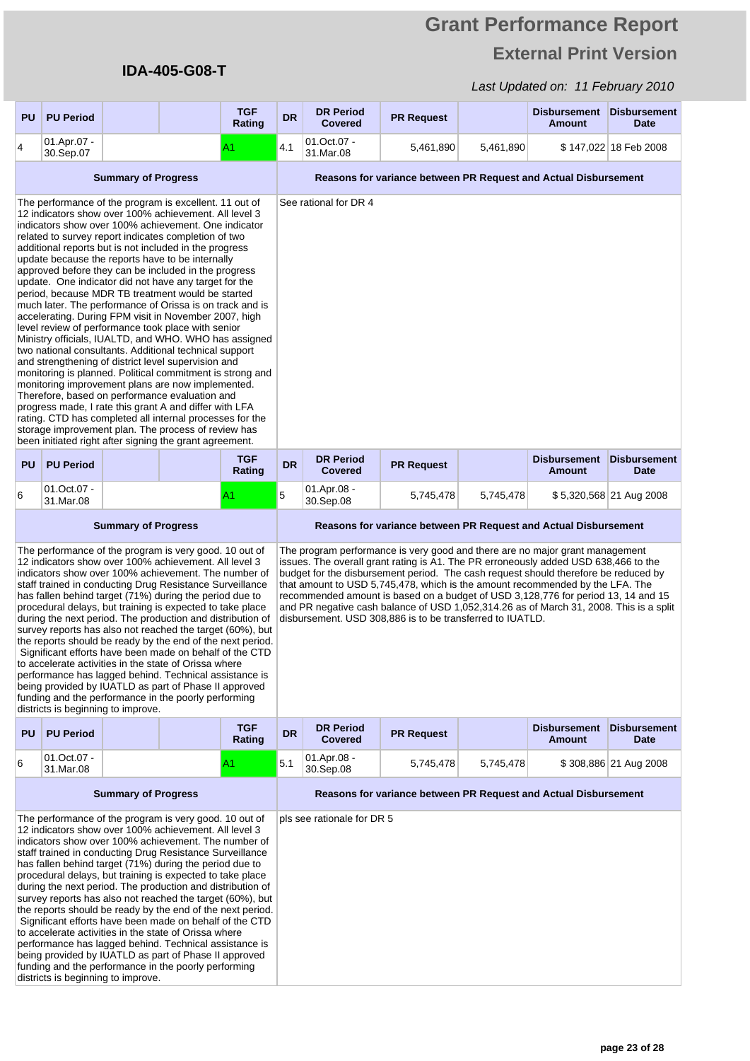## **IDA-405-G08-T**

| <b>PU</b>                                                                                                                                                                                                                                                                                                                                                                                                                                                                                                                                                                                                                                                                                                                                                                                                                                                                                                                                                                                                                                                                                                                                                                                                                                                                            | <b>PU Period</b>         |                            |  | <b>TGF</b><br>Rating | <b>DR</b>                                                       | <b>DR Period</b><br><b>Covered</b> | <b>PR Request</b> |                                                                                                                                                                                                                                                                                                                                                                                                                                                                                                                            | <b>Disbursement</b><br><b>Amount</b>                            | <b>Disbursement</b><br><b>Date</b> |
|--------------------------------------------------------------------------------------------------------------------------------------------------------------------------------------------------------------------------------------------------------------------------------------------------------------------------------------------------------------------------------------------------------------------------------------------------------------------------------------------------------------------------------------------------------------------------------------------------------------------------------------------------------------------------------------------------------------------------------------------------------------------------------------------------------------------------------------------------------------------------------------------------------------------------------------------------------------------------------------------------------------------------------------------------------------------------------------------------------------------------------------------------------------------------------------------------------------------------------------------------------------------------------------|--------------------------|----------------------------|--|----------------------|-----------------------------------------------------------------|------------------------------------|-------------------|----------------------------------------------------------------------------------------------------------------------------------------------------------------------------------------------------------------------------------------------------------------------------------------------------------------------------------------------------------------------------------------------------------------------------------------------------------------------------------------------------------------------------|-----------------------------------------------------------------|------------------------------------|
| 4                                                                                                                                                                                                                                                                                                                                                                                                                                                                                                                                                                                                                                                                                                                                                                                                                                                                                                                                                                                                                                                                                                                                                                                                                                                                                    | 01.Apr.07 -<br>30.Sep.07 |                            |  | Α1                   | 4.1                                                             | 01.Oct.07 -<br>31.Mar.08           | 5,461,890         | 5,461,890                                                                                                                                                                                                                                                                                                                                                                                                                                                                                                                  |                                                                 | \$147,022 18 Feb 2008              |
|                                                                                                                                                                                                                                                                                                                                                                                                                                                                                                                                                                                                                                                                                                                                                                                                                                                                                                                                                                                                                                                                                                                                                                                                                                                                                      |                          | <b>Summary of Progress</b> |  |                      |                                                                 |                                    |                   |                                                                                                                                                                                                                                                                                                                                                                                                                                                                                                                            | Reasons for variance between PR Request and Actual Disbursement |                                    |
| The performance of the program is excellent. 11 out of<br>12 indicators show over 100% achievement. All level 3<br>indicators show over 100% achievement. One indicator<br>related to survey report indicates completion of two<br>additional reports but is not included in the progress<br>update because the reports have to be internally<br>approved before they can be included in the progress<br>update. One indicator did not have any target for the<br>period, because MDR TB treatment would be started<br>much later. The performance of Orissa is on track and is<br>accelerating. During FPM visit in November 2007, high<br>level review of performance took place with senior<br>Ministry officials, IUALTD, and WHO. WHO has assigned<br>two national consultants. Additional technical support<br>and strengthening of district level supervision and<br>monitoring is planned. Political commitment is strong and<br>monitoring improvement plans are now implemented.<br>Therefore, based on performance evaluation and<br>progress made, I rate this grant A and differ with LFA<br>rating. CTD has completed all internal processes for the<br>storage improvement plan. The process of review has<br>been initiated right after signing the grant agreement. |                          |                            |  |                      | See rational for DR 4                                           |                                    |                   |                                                                                                                                                                                                                                                                                                                                                                                                                                                                                                                            |                                                                 |                                    |
| PU                                                                                                                                                                                                                                                                                                                                                                                                                                                                                                                                                                                                                                                                                                                                                                                                                                                                                                                                                                                                                                                                                                                                                                                                                                                                                   | <b>PU Period</b>         |                            |  | <b>TGF</b><br>Rating | <b>DR</b>                                                       | <b>DR Period</b><br><b>Covered</b> | <b>PR Request</b> |                                                                                                                                                                                                                                                                                                                                                                                                                                                                                                                            | <b>Disbursement</b><br><b>Amount</b>                            | <b>Disbursement</b><br><b>Date</b> |
| 6                                                                                                                                                                                                                                                                                                                                                                                                                                                                                                                                                                                                                                                                                                                                                                                                                                                                                                                                                                                                                                                                                                                                                                                                                                                                                    | 01.Oct.07 -<br>31.Mar.08 |                            |  | Α1                   | 5                                                               | 01.Apr.08 -<br>30.Sep.08           | 5,745,478         | 5,745,478                                                                                                                                                                                                                                                                                                                                                                                                                                                                                                                  |                                                                 | \$5,320,568 21 Aug 2008            |
|                                                                                                                                                                                                                                                                                                                                                                                                                                                                                                                                                                                                                                                                                                                                                                                                                                                                                                                                                                                                                                                                                                                                                                                                                                                                                      |                          | <b>Summary of Progress</b> |  |                      | Reasons for variance between PR Request and Actual Disbursement |                                    |                   |                                                                                                                                                                                                                                                                                                                                                                                                                                                                                                                            |                                                                 |                                    |
| The performance of the program is very good. 10 out of<br>12 indicators show over 100% achievement. All level 3<br>indicators show over 100% achievement. The number of<br>staff trained in conducting Drug Resistance Surveillance<br>has fallen behind target (71%) during the period due to<br>procedural delays, but training is expected to take place<br>during the next period. The production and distribution of<br>survey reports has also not reached the target (60%), but<br>the reports should be ready by the end of the next period.<br>Significant efforts have been made on behalf of the CTD<br>to accelerate activities in the state of Orissa where<br>performance has lagged behind. Technical assistance is<br>being provided by IUATLD as part of Phase II approved<br>funding and the performance in the poorly performing                                                                                                                                                                                                                                                                                                                                                                                                                                  |                          |                            |  |                      | disbursement. USD 308,886 is to be transferred to IUATLD.       |                                    |                   | The program performance is very good and there are no major grant management<br>issues. The overall grant rating is A1. The PR erroneously added USD 638,466 to the<br>budget for the disbursement period. The cash request should therefore be reduced by<br>that amount to USD 5,745,478, which is the amount recommended by the LFA. The<br>recommended amount is based on a budget of USD 3,128,776 for period 13, 14 and 15<br>and PR negative cash balance of USD 1,052,314.26 as of March 31, 2008. This is a split |                                                                 |                                    |
| PU                                                                                                                                                                                                                                                                                                                                                                                                                                                                                                                                                                                                                                                                                                                                                                                                                                                                                                                                                                                                                                                                                                                                                                                                                                                                                   | <b>PU Period</b>         |                            |  | <b>TGF</b><br>Rating | <b>DR</b>                                                       | <b>DR Period</b><br><b>Covered</b> | <b>PR Request</b> |                                                                                                                                                                                                                                                                                                                                                                                                                                                                                                                            | <b>Disbursement</b><br><b>Amount</b>                            | <b>Disbursement</b><br><b>Date</b> |
| 6                                                                                                                                                                                                                                                                                                                                                                                                                                                                                                                                                                                                                                                                                                                                                                                                                                                                                                                                                                                                                                                                                                                                                                                                                                                                                    | 01.Oct.07 -<br>31.Mar.08 |                            |  | A1                   | 5.1                                                             | 01.Apr.08 -<br>30.Sep.08           | 5,745,478         | 5,745,478                                                                                                                                                                                                                                                                                                                                                                                                                                                                                                                  |                                                                 | \$308,886 21 Aug 2008              |
| <b>Summary of Progress</b>                                                                                                                                                                                                                                                                                                                                                                                                                                                                                                                                                                                                                                                                                                                                                                                                                                                                                                                                                                                                                                                                                                                                                                                                                                                           |                          |                            |  |                      | Reasons for variance between PR Request and Actual Disbursement |                                    |                   |                                                                                                                                                                                                                                                                                                                                                                                                                                                                                                                            |                                                                 |                                    |
| The performance of the program is very good. 10 out of<br>12 indicators show over 100% achievement. All level 3<br>indicators show over 100% achievement. The number of<br>staff trained in conducting Drug Resistance Surveillance<br>has fallen behind target (71%) during the period due to<br>procedural delays, but training is expected to take place<br>during the next period. The production and distribution of<br>survey reports has also not reached the target (60%), but<br>the reports should be ready by the end of the next period.<br>Significant efforts have been made on behalf of the CTD<br>to accelerate activities in the state of Orissa where<br>performance has lagged behind. Technical assistance is<br>being provided by IUATLD as part of Phase II approved<br>funding and the performance in the poorly performing<br>districts is beginning to improve.                                                                                                                                                                                                                                                                                                                                                                                            |                          |                            |  |                      |                                                                 | pls see rationale for DR 5         |                   |                                                                                                                                                                                                                                                                                                                                                                                                                                                                                                                            |                                                                 |                                    |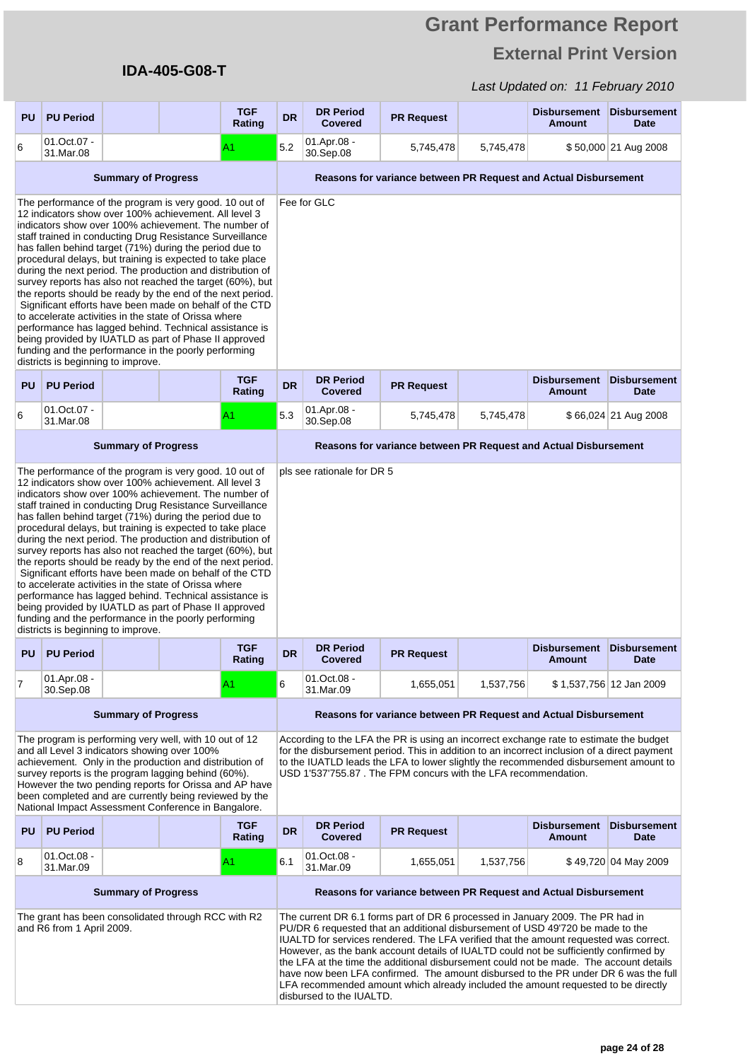## **IDA-405-G08-T**

| PU                                                                                                                                                                                                                                                                                                                                                                                                                                                                                                                                                                                                                                                                                                                                                                                                                                                                                        | <b>PU Period</b>         |                            |  | <b>TGF</b><br>Rating                                                                                                                                                                                                                                                                                                                                                                                                                                                                                                                                                                                                                                 | <b>DR</b>                                                                                                                                                                                                                                                                                                                                       | <b>DR Period</b><br>Covered        | <b>PR Request</b> |           | <b>Disbursement</b><br><b>Amount</b>                            | <b>Disbursement</b><br><b>Date</b> |
|-------------------------------------------------------------------------------------------------------------------------------------------------------------------------------------------------------------------------------------------------------------------------------------------------------------------------------------------------------------------------------------------------------------------------------------------------------------------------------------------------------------------------------------------------------------------------------------------------------------------------------------------------------------------------------------------------------------------------------------------------------------------------------------------------------------------------------------------------------------------------------------------|--------------------------|----------------------------|--|------------------------------------------------------------------------------------------------------------------------------------------------------------------------------------------------------------------------------------------------------------------------------------------------------------------------------------------------------------------------------------------------------------------------------------------------------------------------------------------------------------------------------------------------------------------------------------------------------------------------------------------------------|-------------------------------------------------------------------------------------------------------------------------------------------------------------------------------------------------------------------------------------------------------------------------------------------------------------------------------------------------|------------------------------------|-------------------|-----------|-----------------------------------------------------------------|------------------------------------|
| 6                                                                                                                                                                                                                                                                                                                                                                                                                                                                                                                                                                                                                                                                                                                                                                                                                                                                                         | 01.Oct.07 -<br>31.Mar.08 |                            |  | A1                                                                                                                                                                                                                                                                                                                                                                                                                                                                                                                                                                                                                                                   | 5.2                                                                                                                                                                                                                                                                                                                                             | 01.Apr.08 -<br>30.Sep.08           | 5,745,478         | 5,745,478 |                                                                 | \$50,000 21 Aug 2008               |
|                                                                                                                                                                                                                                                                                                                                                                                                                                                                                                                                                                                                                                                                                                                                                                                                                                                                                           |                          | <b>Summary of Progress</b> |  |                                                                                                                                                                                                                                                                                                                                                                                                                                                                                                                                                                                                                                                      |                                                                                                                                                                                                                                                                                                                                                 |                                    |                   |           | Reasons for variance between PR Request and Actual Disbursement |                                    |
| The performance of the program is very good. 10 out of<br>12 indicators show over 100% achievement. All level 3<br>indicators show over 100% achievement. The number of<br>staff trained in conducting Drug Resistance Surveillance<br>has fallen behind target (71%) during the period due to<br>procedural delays, but training is expected to take place<br>during the next period. The production and distribution of<br>survey reports has also not reached the target (60%), but<br>the reports should be ready by the end of the next period.<br>Significant efforts have been made on behalf of the CTD<br>to accelerate activities in the state of Orissa where<br>performance has lagged behind. Technical assistance is<br>being provided by IUATLD as part of Phase II approved<br>funding and the performance in the poorly performing<br>districts is beginning to improve. |                          |                            |  |                                                                                                                                                                                                                                                                                                                                                                                                                                                                                                                                                                                                                                                      | Fee for GLC                                                                                                                                                                                                                                                                                                                                     |                                    |                   |           |                                                                 |                                    |
| <b>PU</b>                                                                                                                                                                                                                                                                                                                                                                                                                                                                                                                                                                                                                                                                                                                                                                                                                                                                                 | <b>PU Period</b>         |                            |  | <b>TGF</b><br>Rating                                                                                                                                                                                                                                                                                                                                                                                                                                                                                                                                                                                                                                 | <b>DR</b>                                                                                                                                                                                                                                                                                                                                       | <b>DR Period</b><br><b>Covered</b> | <b>PR Request</b> |           | <b>Disbursement</b><br><b>Amount</b>                            | <b>Disbursement</b><br><b>Date</b> |
| 6                                                                                                                                                                                                                                                                                                                                                                                                                                                                                                                                                                                                                                                                                                                                                                                                                                                                                         | 01.Oct.07 -<br>31.Mar.08 |                            |  | A1                                                                                                                                                                                                                                                                                                                                                                                                                                                                                                                                                                                                                                                   | 5.3                                                                                                                                                                                                                                                                                                                                             | 01.Apr.08 -<br>30.Sep.08           | 5,745,478         | 5,745,478 |                                                                 | \$66,024 21 Aug 2008               |
|                                                                                                                                                                                                                                                                                                                                                                                                                                                                                                                                                                                                                                                                                                                                                                                                                                                                                           |                          | <b>Summary of Progress</b> |  |                                                                                                                                                                                                                                                                                                                                                                                                                                                                                                                                                                                                                                                      |                                                                                                                                                                                                                                                                                                                                                 |                                    |                   |           | Reasons for variance between PR Request and Actual Disbursement |                                    |
| The performance of the program is very good. 10 out of<br>12 indicators show over 100% achievement. All level 3<br>indicators show over 100% achievement. The number of<br>staff trained in conducting Drug Resistance Surveillance<br>has fallen behind target (71%) during the period due to<br>procedural delays, but training is expected to take place<br>during the next period. The production and distribution of<br>survey reports has also not reached the target (60%), but<br>the reports should be ready by the end of the next period.<br>Significant efforts have been made on behalf of the CTD<br>to accelerate activities in the state of Orissa where<br>performance has lagged behind. Technical assistance is<br>being provided by IUATLD as part of Phase II approved<br>funding and the performance in the poorly performing<br>districts is beginning to improve. |                          |                            |  |                                                                                                                                                                                                                                                                                                                                                                                                                                                                                                                                                                                                                                                      |                                                                                                                                                                                                                                                                                                                                                 |                                    |                   |           |                                                                 |                                    |
| <b>PU</b>                                                                                                                                                                                                                                                                                                                                                                                                                                                                                                                                                                                                                                                                                                                                                                                                                                                                                 | <b>PU Period</b>         |                            |  | <b>TGF</b><br>Rating                                                                                                                                                                                                                                                                                                                                                                                                                                                                                                                                                                                                                                 | <b>DR</b>                                                                                                                                                                                                                                                                                                                                       | <b>DR Period</b><br><b>Covered</b> | <b>PR Request</b> |           | <b>Disbursement</b><br><b>Amount</b>                            | <b>Disbursement</b><br><b>Date</b> |
| 7                                                                                                                                                                                                                                                                                                                                                                                                                                                                                                                                                                                                                                                                                                                                                                                                                                                                                         | 01.Apr.08 -<br>30.Sep.08 |                            |  | A1                                                                                                                                                                                                                                                                                                                                                                                                                                                                                                                                                                                                                                                   | 6                                                                                                                                                                                                                                                                                                                                               | 01.Oct.08 -<br>31.Mar.09           | 1,655,051         | 1,537,756 |                                                                 | \$1,537,756 12 Jan 2009            |
|                                                                                                                                                                                                                                                                                                                                                                                                                                                                                                                                                                                                                                                                                                                                                                                                                                                                                           |                          | <b>Summary of Progress</b> |  |                                                                                                                                                                                                                                                                                                                                                                                                                                                                                                                                                                                                                                                      | Reasons for variance between PR Request and Actual Disbursement                                                                                                                                                                                                                                                                                 |                                    |                   |           |                                                                 |                                    |
| The program is performing very well, with 10 out of 12<br>and all Level 3 indicators showing over 100%<br>achievement. Only in the production and distribution of<br>survey reports is the program lagging behind (60%).<br>However the two pending reports for Orissa and AP have<br>been completed and are currently being reviewed by the<br>National Impact Assessment Conference in Bangalore.                                                                                                                                                                                                                                                                                                                                                                                                                                                                                       |                          |                            |  |                                                                                                                                                                                                                                                                                                                                                                                                                                                                                                                                                                                                                                                      | According to the LFA the PR is using an incorrect exchange rate to estimate the budget<br>for the disbursement period. This in addition to an incorrect inclusion of a direct payment<br>to the IUATLD leads the LFA to lower slightly the recommended disbursement amount to<br>USD 1'537'755.87. The FPM concurs with the LFA recommendation. |                                    |                   |           |                                                                 |                                    |
| <b>PU</b>                                                                                                                                                                                                                                                                                                                                                                                                                                                                                                                                                                                                                                                                                                                                                                                                                                                                                 | <b>PU Period</b>         |                            |  | <b>TGF</b><br>Rating                                                                                                                                                                                                                                                                                                                                                                                                                                                                                                                                                                                                                                 | <b>DR</b>                                                                                                                                                                                                                                                                                                                                       | <b>DR Period</b><br><b>Covered</b> | <b>PR Request</b> |           | <b>Disbursement</b><br><b>Amount</b>                            | <b>Disbursement</b><br><b>Date</b> |
| 8                                                                                                                                                                                                                                                                                                                                                                                                                                                                                                                                                                                                                                                                                                                                                                                                                                                                                         | 01.Oct.08 -<br>31.Mar.09 |                            |  | A1                                                                                                                                                                                                                                                                                                                                                                                                                                                                                                                                                                                                                                                   | 6.1                                                                                                                                                                                                                                                                                                                                             | 01.Oct.08 -<br>31.Mar.09           | 1,655,051         | 1,537,756 |                                                                 | \$49,720 04 May 2009               |
| <b>Summary of Progress</b>                                                                                                                                                                                                                                                                                                                                                                                                                                                                                                                                                                                                                                                                                                                                                                                                                                                                |                          |                            |  |                                                                                                                                                                                                                                                                                                                                                                                                                                                                                                                                                                                                                                                      |                                                                                                                                                                                                                                                                                                                                                 |                                    |                   |           | Reasons for variance between PR Request and Actual Disbursement |                                    |
| The grant has been consolidated through RCC with R2<br>and R6 from 1 April 2009.                                                                                                                                                                                                                                                                                                                                                                                                                                                                                                                                                                                                                                                                                                                                                                                                          |                          |                            |  | The current DR 6.1 forms part of DR 6 processed in January 2009. The PR had in<br>PU/DR 6 requested that an additional disbursement of USD 49'720 be made to the<br>IUALTD for services rendered. The LFA verified that the amount requested was correct.<br>However, as the bank account details of IUALTD could not be sufficiently confirmed by<br>the LFA at the time the additional disbursement could not be made. The account details<br>have now been LFA confirmed. The amount disbursed to the PR under DR 6 was the full<br>LFA recommended amount which already included the amount requested to be directly<br>disbursed to the IUALTD. |                                                                                                                                                                                                                                                                                                                                                 |                                    |                   |           |                                                                 |                                    |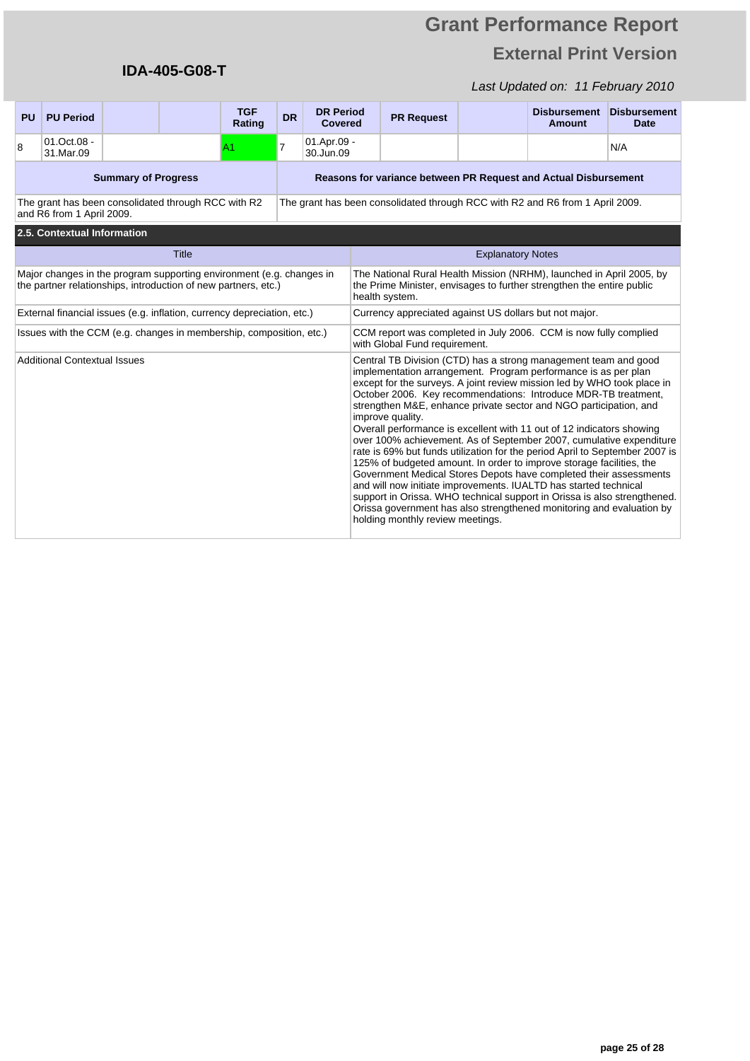## **IDA-405-G08-T**

| <b>PU</b>                                                                                                                              | <b>PU Period</b>                                                                 |                            |              | <b>TGF</b><br>Rating | <b>DR</b>      | <b>DR Period</b><br>Covered |                                                                                                                                                                 | <b>PR Request</b> |                                                                                                                                                                                                                                                                                                                                                                                                                                                                                                                                                                                                                                                                                                                                                                                                                                                                                                                                                         | <b>Disbursement</b><br><b>Amount</b>                                   | <b>Disbursement</b><br><b>Date</b> |
|----------------------------------------------------------------------------------------------------------------------------------------|----------------------------------------------------------------------------------|----------------------------|--------------|----------------------|----------------|-----------------------------|-----------------------------------------------------------------------------------------------------------------------------------------------------------------|-------------------|---------------------------------------------------------------------------------------------------------------------------------------------------------------------------------------------------------------------------------------------------------------------------------------------------------------------------------------------------------------------------------------------------------------------------------------------------------------------------------------------------------------------------------------------------------------------------------------------------------------------------------------------------------------------------------------------------------------------------------------------------------------------------------------------------------------------------------------------------------------------------------------------------------------------------------------------------------|------------------------------------------------------------------------|------------------------------------|
| 8                                                                                                                                      | 01.Oct.08 -<br>31.Mar.09                                                         |                            |              | A1                   | $\overline{7}$ | 01.Apr.09 -<br>30.Jun.09    |                                                                                                                                                                 |                   |                                                                                                                                                                                                                                                                                                                                                                                                                                                                                                                                                                                                                                                                                                                                                                                                                                                                                                                                                         |                                                                        | N/A                                |
|                                                                                                                                        |                                                                                  | <b>Summary of Progress</b> |              |                      |                |                             |                                                                                                                                                                 |                   |                                                                                                                                                                                                                                                                                                                                                                                                                                                                                                                                                                                                                                                                                                                                                                                                                                                                                                                                                         | <b>Reasons for variance between PR Request and Actual Disbursement</b> |                                    |
|                                                                                                                                        | The grant has been consolidated through RCC with R2<br>and R6 from 1 April 2009. |                            |              |                      |                |                             | The grant has been consolidated through RCC with R2 and R6 from 1 April 2009.                                                                                   |                   |                                                                                                                                                                                                                                                                                                                                                                                                                                                                                                                                                                                                                                                                                                                                                                                                                                                                                                                                                         |                                                                        |                                    |
|                                                                                                                                        | 2.5. Contextual Information                                                      |                            |              |                      |                |                             |                                                                                                                                                                 |                   |                                                                                                                                                                                                                                                                                                                                                                                                                                                                                                                                                                                                                                                                                                                                                                                                                                                                                                                                                         |                                                                        |                                    |
|                                                                                                                                        |                                                                                  |                            | <b>Title</b> |                      |                |                             |                                                                                                                                                                 |                   | <b>Explanatory Notes</b>                                                                                                                                                                                                                                                                                                                                                                                                                                                                                                                                                                                                                                                                                                                                                                                                                                                                                                                                |                                                                        |                                    |
| Major changes in the program supporting environment (e.g. changes in<br>the partner relationships, introduction of new partners, etc.) |                                                                                  |                            |              |                      |                |                             | The National Rural Health Mission (NRHM), launched in April 2005, by<br>the Prime Minister, envisages to further strengthen the entire public<br>health system. |                   |                                                                                                                                                                                                                                                                                                                                                                                                                                                                                                                                                                                                                                                                                                                                                                                                                                                                                                                                                         |                                                                        |                                    |
|                                                                                                                                        | External financial issues (e.g. inflation, currency depreciation, etc.)          |                            |              |                      |                |                             | Currency appreciated against US dollars but not major.                                                                                                          |                   |                                                                                                                                                                                                                                                                                                                                                                                                                                                                                                                                                                                                                                                                                                                                                                                                                                                                                                                                                         |                                                                        |                                    |
|                                                                                                                                        | Issues with the CCM (e.g. changes in membership, composition, etc.)              |                            |              |                      |                |                             | CCM report was completed in July 2006. CCM is now fully complied<br>with Global Fund requirement.                                                               |                   |                                                                                                                                                                                                                                                                                                                                                                                                                                                                                                                                                                                                                                                                                                                                                                                                                                                                                                                                                         |                                                                        |                                    |
| <b>Additional Contextual Issues</b>                                                                                                    |                                                                                  |                            |              |                      |                |                             | improve quality.<br>holding monthly review meetings.                                                                                                            |                   | Central TB Division (CTD) has a strong management team and good<br>implementation arrangement. Program performance is as per plan<br>except for the surveys. A joint review mission led by WHO took place in<br>October 2006. Key recommendations: Introduce MDR-TB treatment,<br>strengthen M&E, enhance private sector and NGO participation, and<br>Overall performance is excellent with 11 out of 12 indicators showing<br>over 100% achievement. As of September 2007, cumulative expenditure<br>rate is 69% but funds utilization for the period April to September 2007 is<br>125% of budgeted amount. In order to improve storage facilities, the<br>Government Medical Stores Depots have completed their assessments<br>and will now initiate improvements. IUALTD has started technical<br>support in Orissa. WHO technical support in Orissa is also strengthened.<br>Orissa government has also strengthened monitoring and evaluation by |                                                                        |                                    |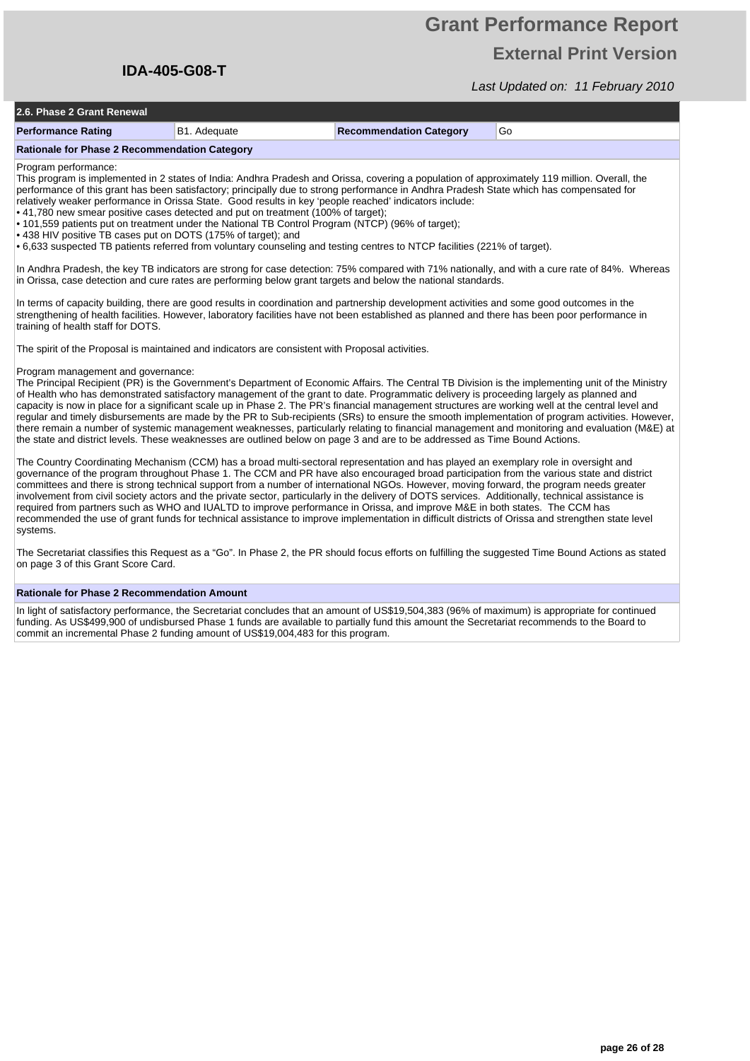## **Grant Performance Report External Print Version**

#### Last Updated on: 11 February 2010

|  |  |  | 2.6. Phase 2 Grant Renewal |
|--|--|--|----------------------------|
|--|--|--|----------------------------|

| $\sim$ . These $\sim$ Organ Rencwer                  |                           |                                |     |  |  |  |  |
|------------------------------------------------------|---------------------------|--------------------------------|-----|--|--|--|--|
| <b>Performance Rating</b>                            | B <sub>1</sub> . Adequate | <b>Recommendation Category</b> | \Go |  |  |  |  |
| <b>Rationale for Phase 2 Recommendation Category</b> |                           |                                |     |  |  |  |  |

Program performance:

This program is implemented in 2 states of India: Andhra Pradesh and Orissa, covering a population of approximately 119 million. Overall, the performance of this grant has been satisfactory; principally due to strong performance in Andhra Pradesh State which has compensated for relatively weaker performance in Orissa State. Good results in key 'people reached' indicators include:

• 41,780 new smear positive cases detected and put on treatment (100% of target);

• 101,559 patients put on treatment under the National TB Control Program (NTCP) (96% of target);

• 438 HIV positive TB cases put on DOTS (175% of target); and

• 6,633 suspected TB patients referred from voluntary counseling and testing centres to NTCP facilities (221% of target).

In Andhra Pradesh, the key TB indicators are strong for case detection: 75% compared with 71% nationally, and with a cure rate of 84%. Whereas in Orissa, case detection and cure rates are performing below grant targets and below the national standards.

In terms of capacity building, there are good results in coordination and partnership development activities and some good outcomes in the strengthening of health facilities. However, laboratory facilities have not been established as planned and there has been poor performance in training of health staff for DOTS.

The spirit of the Proposal is maintained and indicators are consistent with Proposal activities.

#### Program management and governance:

The Principal Recipient (PR) is the Government's Department of Economic Affairs. The Central TB Division is the implementing unit of the Ministry of Health who has demonstrated satisfactory management of the grant to date. Programmatic delivery is proceeding largely as planned and capacity is now in place for a significant scale up in Phase 2. The PR's financial management structures are working well at the central level and regular and timely disbursements are made by the PR to Sub-recipients (SRs) to ensure the smooth implementation of program activities. However, there remain a number of systemic management weaknesses, particularly relating to financial management and monitoring and evaluation (M&E) at the state and district levels. These weaknesses are outlined below on page 3 and are to be addressed as Time Bound Actions.

The Country Coordinating Mechanism (CCM) has a broad multi-sectoral representation and has played an exemplary role in oversight and governance of the program throughout Phase 1. The CCM and PR have also encouraged broad participation from the various state and district committees and there is strong technical support from a number of international NGOs. However, moving forward, the program needs greater involvement from civil society actors and the private sector, particularly in the delivery of DOTS services. Additionally, technical assistance is required from partners such as WHO and IUALTD to improve performance in Orissa, and improve M&E in both states. The CCM has recommended the use of grant funds for technical assistance to improve implementation in difficult districts of Orissa and strengthen state level systems.

The Secretariat classifies this Request as a "Go". In Phase 2, the PR should focus efforts on fulfilling the suggested Time Bound Actions as stated on page 3 of this Grant Score Card.

#### **Rationale for Phase 2 Recommendation Amount**

In light of satisfactory performance, the Secretariat concludes that an amount of US\$19,504,383 (96% of maximum) is appropriate for continued funding. As US\$499,900 of undisbursed Phase 1 funds are available to partially fund this amount the Secretariat recommends to the Board to commit an incremental Phase 2 funding amount of US\$19,004,483 for this program.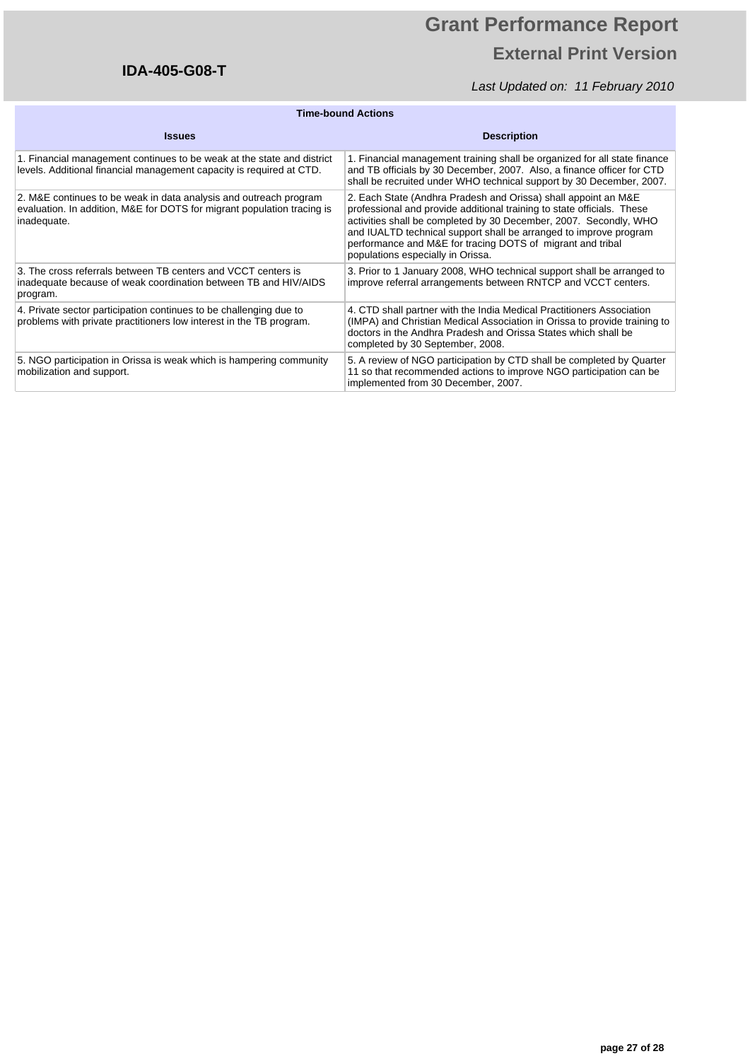# **Grant Performance Report External Print Version**

| <b>Time-bound Actions</b>                                                                                                                                   |                                                                                                                                                                                                                                                                                                                                                                                       |  |  |  |  |
|-------------------------------------------------------------------------------------------------------------------------------------------------------------|---------------------------------------------------------------------------------------------------------------------------------------------------------------------------------------------------------------------------------------------------------------------------------------------------------------------------------------------------------------------------------------|--|--|--|--|
| <b>Issues</b>                                                                                                                                               | <b>Description</b>                                                                                                                                                                                                                                                                                                                                                                    |  |  |  |  |
| 1. Financial management continues to be weak at the state and district<br>levels. Additional financial management capacity is required at CTD.              | 1. Financial management training shall be organized for all state finance<br>and TB officials by 30 December, 2007. Also, a finance officer for CTD<br>shall be recruited under WHO technical support by 30 December, 2007.                                                                                                                                                           |  |  |  |  |
| 2. M&E continues to be weak in data analysis and outreach program<br>evaluation. In addition, M&E for DOTS for migrant population tracing is<br>inadequate. | 2. Each State (Andhra Pradesh and Orissa) shall appoint an M&E<br>professional and provide additional training to state officials. These<br>activities shall be completed by 30 December, 2007. Secondly, WHO<br>and IUALTD technical support shall be arranged to improve program<br>performance and M&E for tracing DOTS of migrant and tribal<br>populations especially in Orissa. |  |  |  |  |
| 3. The cross referrals between TB centers and VCCT centers is<br>inadequate because of weak coordination between TB and HIV/AIDS<br>program.                | 3. Prior to 1 January 2008, WHO technical support shall be arranged to<br>improve referral arrangements between RNTCP and VCCT centers.                                                                                                                                                                                                                                               |  |  |  |  |
| 4. Private sector participation continues to be challenging due to<br>problems with private practitioners low interest in the TB program.                   | 4. CTD shall partner with the India Medical Practitioners Association<br>(IMPA) and Christian Medical Association in Orissa to provide training to<br>doctors in the Andhra Pradesh and Orissa States which shall be<br>completed by 30 September, 2008.                                                                                                                              |  |  |  |  |
| 5. NGO participation in Orissa is weak which is hampering community<br>mobilization and support.                                                            | 5. A review of NGO participation by CTD shall be completed by Quarter<br>11 so that recommended actions to improve NGO participation can be<br>implemented from 30 December, 2007.                                                                                                                                                                                                    |  |  |  |  |